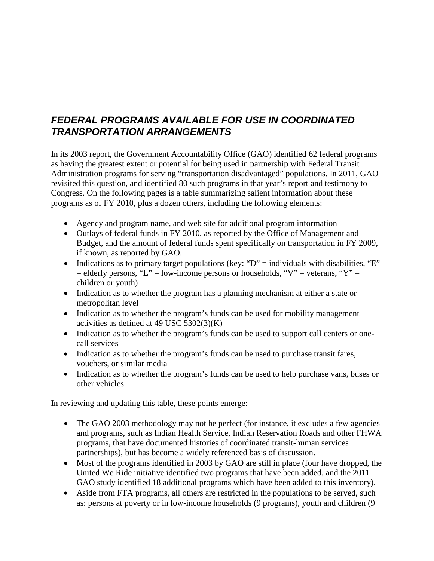# *FEDERAL PROGRAMS AVAILABLE FOR USE IN COORDINATED TRANSPORTATION ARRANGEMENTS*

In its 2003 report, the Government Accountability Office (GAO) identified 62 federal programs as having the greatest extent or potential for being used in partnership with Federal Transit Administration programs for serving "transportation disadvantaged" populations. In 2011, GAO revisited this question, and identified 80 such programs in that year's report and testimony to Congress. On the following pages is a table summarizing salient information about these programs as of FY 2010, plus a dozen others, including the following elements:

- Agency and program name, and web site for additional program information
- Outlays of federal funds in FY 2010, as reported by the Office of Management and Budget, and the amount of federal funds spent specifically on transportation in FY 2009, if known, as reported by GAO.
- Indications as to primary target populations (key: " $D$ " = individuals with disabilities, "E"  $=$  elderly persons, "L" = low-income persons or households, "V" = veterans, "Y" = children or youth)
- Indication as to whether the program has a planning mechanism at either a state or metropolitan level
- Indication as to whether the program's funds can be used for mobility management activities as defined at 49 USC 5302(3)(K)
- Indication as to whether the program's funds can be used to support call centers or onecall services
- Indication as to whether the program's funds can be used to purchase transit fares, vouchers, or similar media
- Indication as to whether the program's funds can be used to help purchase vans, buses or other vehicles

In reviewing and updating this table, these points emerge:

- The GAO 2003 methodology may not be perfect (for instance, it excludes a few agencies and programs, such as Indian Health Service, Indian Reservation Roads and other FHWA programs, that have documented histories of coordinated transit-human services partnerships), but has become a widely referenced basis of discussion.
- Most of the programs identified in 2003 by GAO are still in place (four have dropped, the United We Ride initiative identified two programs that have been added, and the 2011 GAO study identified 18 additional programs which have been added to this inventory).
- Aside from FTA programs, all others are restricted in the populations to be served, such as: persons at poverty or in low-income households (9 programs), youth and children (9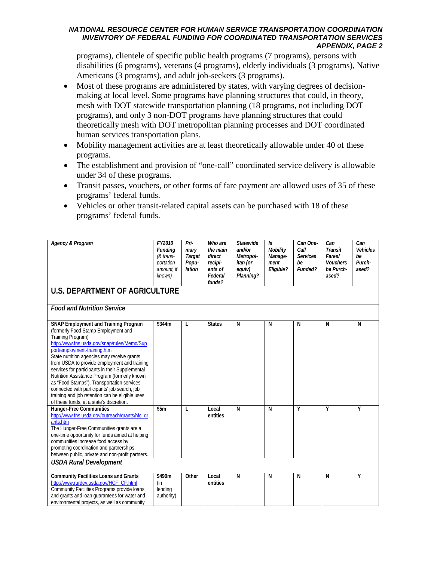programs), clientele of specific public health programs (7 programs), persons with disabilities (6 programs), veterans (4 programs), elderly individuals (3 programs), Native Americans (3 programs), and adult job-seekers (3 programs).

- Most of these programs are administered by states, with varying degrees of decisionmaking at local level. Some programs have planning structures that could, in theory, mesh with DOT statewide transportation planning (18 programs, not including DOT programs), and only 3 non-DOT programs have planning structures that could theoretically mesh with DOT metropolitan planning processes and DOT coordinated human services transportation plans.
- Mobility management activities are at least theoretically allowable under 40 of these programs.
- The establishment and provision of "one-call" coordinated service delivery is allowable under 34 of these programs.
- Transit passes, vouchers, or other forms of fare payment are allowed uses of 35 of these programs' federal funds.
- Vehicles or other transit-related capital assets can be purchased with 18 of these programs' federal funds.

| Agency & Program                                                                                                                                                                                                                                                                                                                                                                                                                                                                                                                                                                      | FY2010<br><b>Funding</b><br>$&$ trans-<br>portation<br>amount, if<br>known) | Pri-<br>mary<br>Target<br>Popu-<br>lation | Who are<br>the main<br>direct<br>recipi-<br>ents of<br>Federal<br>funds? | <b>Statewide</b><br>and/or<br>Metropol-<br>itan (or<br>equiv)<br>Planning? | $\mathsf{ls}$<br>Mobility<br>Manage-<br>ment<br>Eligible? | Can One-<br>Call<br><b>Services</b><br>be<br>Funded? | Can<br><b>Transit</b><br>Fares/<br><b>Vouchers</b><br>be Purch-<br>ased? | Can<br><b>Vehicles</b><br>be<br>Purch-<br>ased? |  |
|---------------------------------------------------------------------------------------------------------------------------------------------------------------------------------------------------------------------------------------------------------------------------------------------------------------------------------------------------------------------------------------------------------------------------------------------------------------------------------------------------------------------------------------------------------------------------------------|-----------------------------------------------------------------------------|-------------------------------------------|--------------------------------------------------------------------------|----------------------------------------------------------------------------|-----------------------------------------------------------|------------------------------------------------------|--------------------------------------------------------------------------|-------------------------------------------------|--|
| <b>U.S. DEPARTMENT OF AGRICULTURE</b>                                                                                                                                                                                                                                                                                                                                                                                                                                                                                                                                                 |                                                                             |                                           |                                                                          |                                                                            |                                                           |                                                      |                                                                          |                                                 |  |
| <b>Food and Nutrition Service</b>                                                                                                                                                                                                                                                                                                                                                                                                                                                                                                                                                     |                                                                             |                                           |                                                                          |                                                                            |                                                           |                                                      |                                                                          |                                                 |  |
| <b>SNAP Employment and Training Program</b><br>(formerly Food Stamp Employment and<br>Training Program)<br>http://www.fns.usda.gov/snap/rules/Memo/Sup<br>port/employment-training.htm<br>State nutrition agencies may receive grants<br>from USDA to provide employment and training<br>services for participants in their Supplemental<br>Nutrition Assistance Program (formerly known<br>as "Food Stamps"). Transportation services<br>connected with participants' job search, job<br>training and job retention can be eligible uses<br>of these funds, at a state's discretion. | \$344m                                                                      | L                                         | <b>States</b>                                                            | N                                                                          | N                                                         | N                                                    | N                                                                        | N                                               |  |
| <b>Hunger-Free Communities</b><br>http://www.fns.usda.gov/outreach/grants/hfc gr<br>ants.htm<br>The Hunger-Free Communities grants are a<br>one-time opportunity for funds aimed at helping<br>communities increase food access by<br>promoting coordination and partnerships<br>between public, private and non-profit partners.<br><b>USDA Rural Development</b>                                                                                                                                                                                                                    | \$5m                                                                        | L                                         | Local<br>entities                                                        | N                                                                          | N                                                         | Y                                                    | Υ                                                                        | Υ                                               |  |
| <b>Community Facilities Loans and Grants</b><br>http://www.rurdev.usda.gov/HCF CF.html<br>Community Facilities Programs provide loans<br>and grants and loan guarantees for water and<br>environmental projects, as well as community                                                                                                                                                                                                                                                                                                                                                 | \$490m<br>(in<br>lending<br>authority)                                      | Other                                     | Local<br>entities                                                        | N                                                                          | N                                                         | N                                                    | N                                                                        | Υ                                               |  |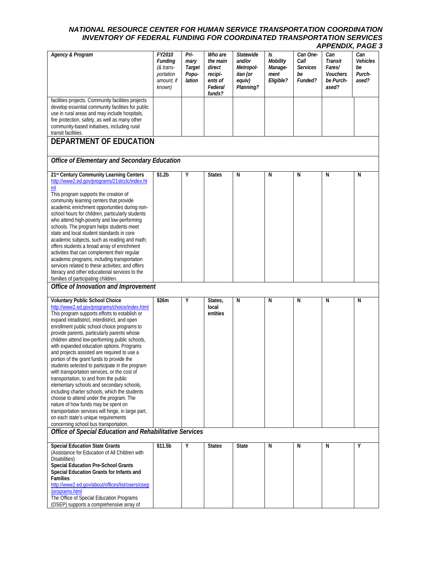|                                                                                                                                                                                                                                                                                                                                                                                                                                                                                                                                                                                                                                                                                                                                                                                                                                                                                                                                               |                                                                     |                                           |                                                                          |                                                                            |                                                |                                                      |                                                            | .                                        |
|-----------------------------------------------------------------------------------------------------------------------------------------------------------------------------------------------------------------------------------------------------------------------------------------------------------------------------------------------------------------------------------------------------------------------------------------------------------------------------------------------------------------------------------------------------------------------------------------------------------------------------------------------------------------------------------------------------------------------------------------------------------------------------------------------------------------------------------------------------------------------------------------------------------------------------------------------|---------------------------------------------------------------------|-------------------------------------------|--------------------------------------------------------------------------|----------------------------------------------------------------------------|------------------------------------------------|------------------------------------------------------|------------------------------------------------------------|------------------------------------------|
| <b>Agency &amp; Program</b>                                                                                                                                                                                                                                                                                                                                                                                                                                                                                                                                                                                                                                                                                                                                                                                                                                                                                                                   | FY2010<br>Funding<br>(& trans-<br>portation<br>amount, if<br>known) | Pri-<br>mary<br>Target<br>Popu-<br>lation | Who are<br>the main<br>direct<br>recipi-<br>ents of<br>Federal<br>funds? | <b>Statewide</b><br>and/or<br>Metropol-<br>itan (or<br>equiv)<br>Planning? | Is<br>Mobility<br>Manage-<br>ment<br>Eligible? | Can One-<br>Call<br><b>Services</b><br>be<br>Funded? | Can<br>Transit<br>Fares/<br>Vouchers<br>be Purch-<br>ased? | Can<br>Vehicles<br>be<br>Purch-<br>ased? |
| facilities projects. Community facilities projects<br>develop essential community facilities for public<br>use in rural areas and may include hospitals,<br>fire protection, safety, as well as many other<br>community-based initiatives, including rural<br>transit facilities.                                                                                                                                                                                                                                                                                                                                                                                                                                                                                                                                                                                                                                                             |                                                                     |                                           |                                                                          |                                                                            |                                                |                                                      |                                                            |                                          |
| <b>DEPARTMENT OF EDUCATION</b>                                                                                                                                                                                                                                                                                                                                                                                                                                                                                                                                                                                                                                                                                                                                                                                                                                                                                                                |                                                                     |                                           |                                                                          |                                                                            |                                                |                                                      |                                                            |                                          |
| Office of Elementary and Secondary Education                                                                                                                                                                                                                                                                                                                                                                                                                                                                                                                                                                                                                                                                                                                                                                                                                                                                                                  |                                                                     |                                           |                                                                          |                                                                            |                                                |                                                      |                                                            |                                          |
| 21st Century Community Learning Centers<br>http://www2.ed.gov/programs/21stcclc/index.ht<br>ml<br>This program supports the creation of<br>community learning centers that provide<br>academic enrichment opportunities during non-<br>school hours for children, particularly students<br>who attend high-poverty and low-performing<br>schools. The program helps students meet<br>state and local student standards in core<br>academic subjects, such as reading and math;<br>offers students a broad array of enrichment<br>activities that can complement their regular<br>academic programs, including transportation<br>services related to these activities; and offers<br>literacy and other educational services to the<br>families of participating children.                                                                                                                                                                     | \$1.2 <sub>b</sub>                                                  | Υ                                         | <b>States</b>                                                            | N                                                                          | N                                              | N                                                    | N                                                          | N                                        |
| Office of Innovation and Improvement                                                                                                                                                                                                                                                                                                                                                                                                                                                                                                                                                                                                                                                                                                                                                                                                                                                                                                          |                                                                     |                                           |                                                                          |                                                                            |                                                |                                                      |                                                            |                                          |
| Voluntary Public School Choice<br>http://www2.ed.gov/programs/choice/index.html<br>This program supports efforts to establish or<br>expand intradistrict, interdistrict, and open<br>enrollment public school choice programs to<br>provide parents, particularly parents whose<br>children attend low-performing public schools,<br>with expanded education options. Programs<br>and projects assisted are required to use a<br>portion of the grant funds to provide the<br>students selected to participate in the program<br>with transportation services, or the cost of<br>transportation, to and from the public<br>elementary schools and secondary schools,<br>including charter schools, which the students<br>choose to attend under the program. The<br>nature of how funds may be spent on<br>transportation services will hinge, in large part,<br>on each state's unique requirements<br>concerning school bus transportation. | \$26m                                                               | Υ                                         | States,<br>local<br>entities                                             | N                                                                          | N                                              | N                                                    | Ν                                                          | N                                        |
| Office of Special Education and Rehabilitative Services                                                                                                                                                                                                                                                                                                                                                                                                                                                                                                                                                                                                                                                                                                                                                                                                                                                                                       |                                                                     |                                           |                                                                          |                                                                            |                                                |                                                      |                                                            |                                          |
| <b>Special Education State Grants</b><br>(Assistance for Education of All Children with<br>Disabilities)<br>Special Education Pre-School Grants<br>Special Education Grants for Infants and<br><b>Families</b><br>http://www2.ed.gov/about/offices/list/osers/osep<br>/programs.html<br>The Office of Special Education Programs<br>(OSEP) supports a comprehensive array of                                                                                                                                                                                                                                                                                                                                                                                                                                                                                                                                                                  | \$11.5b                                                             | Υ                                         | <b>States</b>                                                            | <b>State</b>                                                               | N                                              | N                                                    | N                                                          | Υ                                        |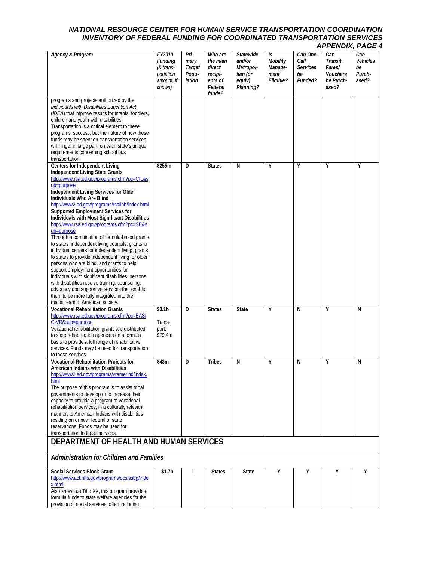| <b>Agency &amp; Program</b>                                                                                                                                                                                                                                                                                                                                                                                                                                                                                                                                                                                                                                                                                                                                                                                                                                                                                                                                    | FY2010<br><b>Funding</b><br>(& trans-<br>portation<br>amount, if<br>known) | Pri-<br>mary<br>Target<br>Popu-<br>lation | Who are<br>the main<br>direct<br>recipi-<br>ents of<br>Federal<br>funds? | <b>Statewide</b><br>and/or<br>Metropol-<br>itan (or<br>equiv)<br>Planning? | Is<br>Mobility<br>Manage-<br>ment<br>Eligible? | Can One-<br>Call<br><b>Services</b><br>be<br>Funded? | Can<br>Transit<br>Fares/<br>Vouchers<br>be Purch-<br>ased? | Can<br><b>Vehicles</b><br>be<br>Purch-<br>ased? |
|----------------------------------------------------------------------------------------------------------------------------------------------------------------------------------------------------------------------------------------------------------------------------------------------------------------------------------------------------------------------------------------------------------------------------------------------------------------------------------------------------------------------------------------------------------------------------------------------------------------------------------------------------------------------------------------------------------------------------------------------------------------------------------------------------------------------------------------------------------------------------------------------------------------------------------------------------------------|----------------------------------------------------------------------------|-------------------------------------------|--------------------------------------------------------------------------|----------------------------------------------------------------------------|------------------------------------------------|------------------------------------------------------|------------------------------------------------------------|-------------------------------------------------|
| programs and projects authorized by the<br>Individuals with Disabilities Education Act<br>(IDEA) that improve results for infants, toddlers,<br>children and youth with disabilities.<br>Transportation is a critical element to these<br>programs' success, but the nature of how these<br>funds may be spent on transportation services<br>will hinge, in large part, on each state's unique<br>requirements concerning school bus<br>transportation.                                                                                                                                                                                                                                                                                                                                                                                                                                                                                                        |                                                                            |                                           |                                                                          |                                                                            |                                                |                                                      |                                                            |                                                 |
| <b>Centers for Independent Living</b><br>Independent Living State Grants<br>http://www.rsa.ed.gov/programs.cfm?pc=CIL&s<br>ub=purpose<br>Independent Living Services for Older<br>Individuals Who Are Blind<br>http://www2.ed.gov/programs/rsailob/index.html<br>Supported Employment Services for<br>Individuals with Most Significant Disabilities<br>http://www.rsa.ed.gov/programs.cfm?pc=SE&s<br>ub=purpose<br>Through a combination of formula-based grants<br>to states' independent living councils, grants to<br>individual centers for independent living, grants<br>to states to provide independent living for older<br>persons who are blind, and grants to help<br>support employment opportunities for<br>individuals with significant disabilities, persons<br>with disabilities receive training, counseling,<br>advocacy and supportive services that enable<br>them to be more fully integrated into the<br>mainstream of American society. | \$255m                                                                     | D                                         | <b>States</b>                                                            | N                                                                          | Y                                              | $\overline{Y}$                                       | Y                                                          | Υ                                               |
| <b>Vocational Rehabilitation Grants</b><br>http://www.rsa.ed.gov/programs.cfm?pc=BASI<br>C-VR⊂=purpose<br>Vocational rehabilitation grants are distributed<br>to state rehabilitation agencies on a formula<br>basis to provide a full range of rehabilitative<br>services. Funds may be used for transportation<br>to these services.                                                                                                                                                                                                                                                                                                                                                                                                                                                                                                                                                                                                                         | \$3.1 <sub>b</sub><br>Trans-<br>port:<br>\$79.4m                           | D                                         | <b>States</b>                                                            | <b>State</b>                                                               | Y                                              | N                                                    | Y                                                          | N                                               |
| <b>Vocational Rehabilitation Projects for</b><br>American Indians with Disabilities<br>http://www2.ed.gov/programs/vramerind/index.<br>html<br>The purpose of this program is to assist tribal<br>governments to develop or to increase their<br>capacity to provide a program of vocational<br>rehabilitation services, in a culturally relevant<br>manner, to American Indians with disabilities<br>residing on or near federal or state<br>reservations. Funds may be used for<br>transportation to these services.                                                                                                                                                                                                                                                                                                                                                                                                                                         | \$43m                                                                      | D                                         | <b>Tribes</b>                                                            | N                                                                          | Y                                              | N                                                    | Y                                                          | N                                               |
| DEPARTMENT OF HEALTH AND HUMAN SERVICES                                                                                                                                                                                                                                                                                                                                                                                                                                                                                                                                                                                                                                                                                                                                                                                                                                                                                                                        |                                                                            |                                           |                                                                          |                                                                            |                                                |                                                      |                                                            |                                                 |
| <b>Administration for Children and Families</b>                                                                                                                                                                                                                                                                                                                                                                                                                                                                                                                                                                                                                                                                                                                                                                                                                                                                                                                |                                                                            |                                           |                                                                          |                                                                            |                                                |                                                      |                                                            |                                                 |
| <b>Social Services Block Grant</b><br>http://www.acf.hhs.gov/programs/ocs/ssbg/inde<br>x.html<br>Also known as Title XX, this program provides<br>formula funds to state welfare agencies for the<br>provision of social services, often including                                                                                                                                                                                                                                                                                                                                                                                                                                                                                                                                                                                                                                                                                                             | \$1.7b                                                                     | L                                         | <b>States</b>                                                            | <b>State</b>                                                               | Υ                                              | Υ                                                    | Υ                                                          | Υ                                               |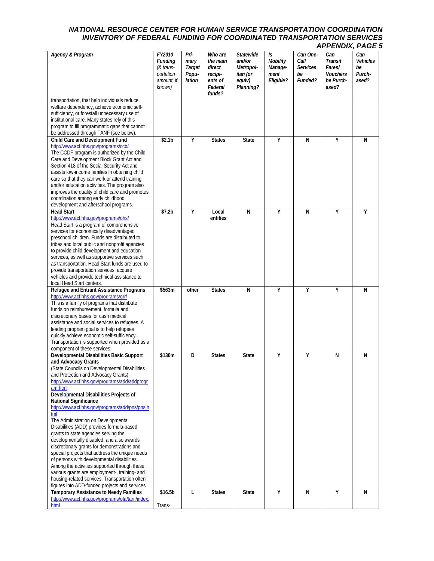| <b>Agency &amp; Program</b>                                                                                                                                                                                                                                                                                                                                                                                                                                                                                                                                                                                                                                                                                                                                                                                                                                                        | FY2010<br><b>Funding</b><br>$&$ trans-<br>portation<br>amount, if<br>known) | Pri-<br>mary<br>Target<br>Popu-<br>lation | Who are<br>the main<br>direct<br>recipi-<br>ents of<br>Federal<br>funds? | Statewide<br>and/or<br>Metropol-<br>itan (or<br>equiv)<br>Planning? | Is<br>Mobility<br>Manage-<br>ment<br>Eligible? | Can One-<br>Call<br><b>Services</b><br>be<br>Funded? | Can<br>Transit<br>Fares/<br><b>Vouchers</b><br>be Purch-<br>ased? | Can<br><b>Vehicles</b><br>be<br>Purch-<br>ased? |
|------------------------------------------------------------------------------------------------------------------------------------------------------------------------------------------------------------------------------------------------------------------------------------------------------------------------------------------------------------------------------------------------------------------------------------------------------------------------------------------------------------------------------------------------------------------------------------------------------------------------------------------------------------------------------------------------------------------------------------------------------------------------------------------------------------------------------------------------------------------------------------|-----------------------------------------------------------------------------|-------------------------------------------|--------------------------------------------------------------------------|---------------------------------------------------------------------|------------------------------------------------|------------------------------------------------------|-------------------------------------------------------------------|-------------------------------------------------|
| transportation, that help individuals reduce<br>welfare dependency, achieve economic self-<br>sufficiency, or forestall unnecessary use of<br>institutional care. Many states rely of this<br>program to fill programmatic gaps that cannot<br>be addressed through TANF (see below).                                                                                                                                                                                                                                                                                                                                                                                                                                                                                                                                                                                              |                                                                             |                                           |                                                                          |                                                                     |                                                |                                                      |                                                                   |                                                 |
| Child Care and Development Fund<br>http://www.acf.hhs.gov/programs/ccb/<br>The CCDF program is authorized by the Child<br>Care and Development Block Grant Act and<br>Section 418 of the Social Security Act and<br>assists low-income families in obtaining child<br>care so that they can work or attend training<br>and/or education activities. The program also<br>improves the quality of child care and promotes<br>coordination among early childhood<br>development and afterschool programs.                                                                                                                                                                                                                                                                                                                                                                             | \$2.1 <sub>b</sub>                                                          | Υ                                         | <b>States</b>                                                            | <b>State</b>                                                        | Υ                                              | N                                                    | Υ                                                                 | N                                               |
| <b>Head Start</b><br>http://www.acf.hhs.gov/programs/ohs/<br>Head Start is a program of comprehensive<br>services for economically disadvantaged<br>preschool children. Funds are distributed to<br>tribes and local public and nonprofit agencies<br>to provide child development and education<br>services, as well as supportive services such<br>as transportation. Head Start funds are used to<br>provide transportation services, acquire<br>vehicles and provide technical assistance to<br>local Head Start centers.                                                                                                                                                                                                                                                                                                                                                      | \$7.2 <sub>b</sub>                                                          | Y                                         | Local<br>entities                                                        | $\overline{N}$                                                      | Υ                                              | N                                                    | Ÿ                                                                 | Υ                                               |
| Refugee and Entrant Assistance Programs<br>http://www.acf.hhs.gov/programs/orr/<br>This is a family of programs that distribute<br>funds on reimbursement, formula and<br>discretionary bases for cash medical<br>assistance and social services to refugees. A<br>leading program goal is to help refugees<br>quickly achieve economic self-sufficiency.<br>Transportation is supported when provided as a<br>component of these services.                                                                                                                                                                                                                                                                                                                                                                                                                                        | \$563m                                                                      | other                                     | <b>States</b>                                                            | N                                                                   | Y                                              | Y                                                    | Υ                                                                 | N                                               |
| Developmental Disabilities Basic Support<br>and Advocacy Grants<br>(State Councils on Developmental Disabilities<br>and Protection and Advocacy Grants)<br>http://www.acf.hhs.gov/programs/add/addprogr<br>am.html<br>Developmental Disabilities Projects of<br><b>National Significance</b><br>http://www.acf.hhs.gov/programs/add/pns/pns.h<br>tml<br>The Administration on Developmental<br>Disabilities (ADD) provides formula-based<br>grants to state agencies serving the<br>developmentally disabled, and also awards<br>discretionary grants for demonstrations and<br>special projects that address the unique needs<br>of persons with developmental disabilities.<br>Among the activities supported through these<br>various grants are employment-, training- and<br>housing-related services. Transportation often<br>figures into ADD-funded projects and services. | \$130m                                                                      | D                                         | <b>States</b>                                                            | <b>State</b>                                                        | Υ                                              | Y                                                    | N                                                                 | N                                               |
| <b>Temporary Assistance to Needy Families</b><br>http://www.acf.hhs.gov/programs/ofa/tanf/index.<br>html                                                                                                                                                                                                                                                                                                                                                                                                                                                                                                                                                                                                                                                                                                                                                                           | \$16.5b<br>Trans-                                                           | L                                         | <b>States</b>                                                            | <b>State</b>                                                        | Υ                                              | N                                                    | Υ                                                                 | N                                               |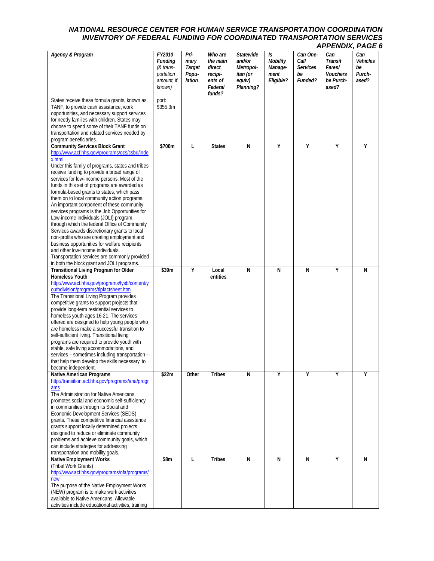| <b>Agency &amp; Program</b>                                                                                                                                                                                                                                                                                                                                                                                                                                                                                                                                                                                                                                                                                                                                                                                                                                                     | FY2010<br><b>Funding</b><br>(& trans-<br>portation<br>amount, if<br>known) | Pri-<br>mary<br><b>Target</b><br>Popu-<br>lation | Who are<br>the main<br>direct<br>recipi-<br>ents of<br>Federal<br>funds? | Statewide<br>and/or<br>Metropol-<br>itan (or<br>equiv)<br>Planning? | Is<br>Mobility<br>Manage-<br>ment<br>Eligible? | Can One-<br>Call<br><b>Services</b><br>be<br>Funded? | Can<br>Transit<br>Fares/<br><b>Vouchers</b><br>be Purch-<br>ased? | Can<br>Vehicles<br>be<br>Purch-<br>ased? |
|---------------------------------------------------------------------------------------------------------------------------------------------------------------------------------------------------------------------------------------------------------------------------------------------------------------------------------------------------------------------------------------------------------------------------------------------------------------------------------------------------------------------------------------------------------------------------------------------------------------------------------------------------------------------------------------------------------------------------------------------------------------------------------------------------------------------------------------------------------------------------------|----------------------------------------------------------------------------|--------------------------------------------------|--------------------------------------------------------------------------|---------------------------------------------------------------------|------------------------------------------------|------------------------------------------------------|-------------------------------------------------------------------|------------------------------------------|
| States receive these formula grants, known as<br>TANF, to provide cash assistance, work<br>opportunities, and necessary support services<br>for needy families with children. States may<br>choose to spend some of their TANF funds on<br>transportation and related services needed by<br>program beneficiaries.                                                                                                                                                                                                                                                                                                                                                                                                                                                                                                                                                              | port:<br>\$355.3m                                                          |                                                  |                                                                          |                                                                     |                                                |                                                      |                                                                   |                                          |
| <b>Community Services Block Grant</b><br>http://www.acf.hhs.gov/programs/ocs/csbg/inde<br>x.html<br>Under this family of programs, states and tribes<br>receive funding to provide a broad range of<br>services for low-income persons. Most of the<br>funds in this set of programs are awarded as<br>formula-based grants to states, which pass<br>them on to local community action programs.<br>An important component of these community<br>services programs is the Job Opportunities for<br>Low-income Individuals (JOLI) program,<br>through which the federal Office of Community<br>Services awards discretionary grants to local<br>non-profits who are creating employment and<br>business opportunities for welfare recipients<br>and other low-income individuals.<br>Transportation services are commonly provided<br>in both the block grant and JOLI programs. | \$700m                                                                     | L                                                | <b>States</b>                                                            | $\overline{N}$                                                      | Υ                                              | Y                                                    | Υ                                                                 | Υ                                        |
| <b>Transitional Living Program for Older</b><br><b>Homeless Youth</b><br>http://www.acf.hhs.gov/programs/fysb/content/y<br>outhdivision/programs/tlpfactsheet.htm<br>The Transitional Living Program provides<br>competitive grants to support projects that<br>provide long-term residential services to<br>homeless youth ages 16-21. The services<br>offered are designed to help young people who<br>are homeless make a successful transition to<br>self-sufficient living. Transitional living<br>programs are required to provide youth with<br>stable, safe living accommodations, and<br>services - sometimes including transportation -<br>that help them develop the skills necessary to<br>become independent.                                                                                                                                                      | \$39m                                                                      | Y                                                | Local<br>entities                                                        | N                                                                   | N                                              | N                                                    | Υ                                                                 | N                                        |
| Native American Programs<br>http://transition.acf.hhs.gov/programs/ana/progr<br>ams<br>The Administration for Native Americans<br>promotes social and economic self-sufficiency<br>in communities through its Social and<br>Economic Development Services (SEDS)<br>grants. These competitive financial assistance<br>grants support locally determined projects<br>designed to reduce or eliminate community<br>problems and achieve community goals, which<br>can include strategies for addressing<br>transportation and mobility goals.                                                                                                                                                                                                                                                                                                                                     | \$22m                                                                      | Other                                            | <b>Tribes</b>                                                            | N                                                                   | Υ                                              | Υ                                                    | Υ                                                                 | Υ                                        |
| <b>Native Employment Works</b><br>(Tribal Work Grants)<br>http://www.acf.hhs.gov/programs/ofa/programs/<br>new<br>The purpose of the Native Employment Works<br>(NEW) program is to make work activities<br>available to Native Americans. Allowable<br>activities include educational activities, training                                                                                                                                                                                                                                                                                                                                                                                                                                                                                                                                                                     | \$8m                                                                       | L                                                | <b>Tribes</b>                                                            | N                                                                   | N                                              | N                                                    | Υ                                                                 | N                                        |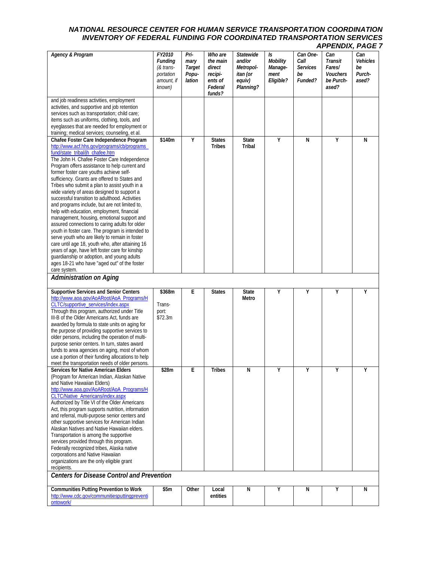| <b>Agency &amp; Program</b>                                                                                                                                                                                                                                                                                                                                                                                                                                                                                                                                                                                                                                                                                                                                                                                                                                                                                                                                                                        | FY2010<br><b>Funding</b><br>(& trans-<br>portation<br>amount, if<br>known) | Pri-<br>mary<br>Target<br>Popu-<br>lation | Who are<br>the main<br>direct<br>recipi-<br>ents of<br>Federal<br>funds? | Statewide<br>and/or<br>Metropol-<br>itan (or<br>equiv)<br>Planning? | Is<br>Mobility<br>Manage-<br>ment<br>Eligible? | Can One-<br>Call<br><b>Services</b><br>be<br>Funded? | Can<br>Transit<br>Fares/<br>Vouchers<br>be Purch-<br>ased? | Can<br>Vehicles<br>be<br>Purch-<br>ased? |
|----------------------------------------------------------------------------------------------------------------------------------------------------------------------------------------------------------------------------------------------------------------------------------------------------------------------------------------------------------------------------------------------------------------------------------------------------------------------------------------------------------------------------------------------------------------------------------------------------------------------------------------------------------------------------------------------------------------------------------------------------------------------------------------------------------------------------------------------------------------------------------------------------------------------------------------------------------------------------------------------------|----------------------------------------------------------------------------|-------------------------------------------|--------------------------------------------------------------------------|---------------------------------------------------------------------|------------------------------------------------|------------------------------------------------------|------------------------------------------------------------|------------------------------------------|
| and job readiness activities, employment<br>activities, and supportive and job retention<br>services such as transportation; child care;<br>items such as uniforms, clothing, tools, and<br>eyeglasses that are needed for employment or<br>training; medical services; counseling, et al.                                                                                                                                                                                                                                                                                                                                                                                                                                                                                                                                                                                                                                                                                                         |                                                                            |                                           |                                                                          |                                                                     |                                                |                                                      |                                                            |                                          |
| Chafee Foster Care Independence Program<br>http://www.acf.hhs.gov/programs/cb/programs_<br>fund/state_tribal/ih_chafee.htm<br>The John H. Chafee Foster Care Independence<br>Program offers assistance to help current and<br>former foster care youths achieve self-<br>sufficiency. Grants are offered to States and<br>Tribes who submit a plan to assist youth in a<br>wide variety of areas designed to support a<br>successful transition to adulthood. Activities<br>and programs include, but are not limited to,<br>help with education, employment, financial<br>management, housing, emotional support and<br>assured connections to caring adults for older<br>youth in foster care. The program is intended to<br>serve youth who are likely to remain in foster<br>care until age 18, youth who, after attaining 16<br>years of age, have left foster care for kinship<br>guardianship or adoption, and young adults<br>ages 18-21 who have "aged out" of the foster<br>care system. | \$140m                                                                     | Y                                         | <b>States</b><br><b>Tribes</b>                                           | <b>State</b><br><b>Tribal</b>                                       | Υ                                              | N                                                    | Y                                                          | N                                        |
| <b>Administration on Aging</b>                                                                                                                                                                                                                                                                                                                                                                                                                                                                                                                                                                                                                                                                                                                                                                                                                                                                                                                                                                     |                                                                            |                                           |                                                                          |                                                                     |                                                |                                                      |                                                            |                                          |
| <b>Supportive Services and Senior Centers</b><br>http://www.aoa.gov/AoARoot/AoA_Programs/H<br>CLTC/supportive_services/index.aspx<br>Through this program, authorized under Title<br>III-B of the Older Americans Act, funds are<br>awarded by formula to state units on aging for<br>the purpose of providing supportive services to<br>older persons, including the operation of multi-<br>purpose senior centers. In turn, states award<br>funds to area agencies on aging, most of whom<br>use a portion of their funding allocations to help<br>meet the transportation needs of older persons.                                                                                                                                                                                                                                                                                                                                                                                               | \$368m<br>Trans-<br>port:<br>\$72.3m                                       | E                                         | <b>States</b>                                                            | <b>State</b><br>Metro                                               | Υ                                              | Υ                                                    | Y                                                          | Υ                                        |
| <b>Services for Native American Elders</b><br>(Program for American Indian, Alaskan Native<br>and Native Hawaiian Elders)<br>http://www.aoa.gov/AoARoot/AoA_Programs/H<br><b>CLTC/Native_Americans/index.aspx</b><br>Authorized by Title VI of the Older Americans<br>Act, this program supports nutrition, information<br>and referral, multi-purpose senior centers and<br>other supportive services for American Indian<br>Alaskan Natives and Native Hawaiian elders.<br>Transportation is among the supportive<br>services provided through this program.<br>Federally recognized tribes, Alaska native<br>corporations and Native Hawaiian<br>organizations are the only eligible grant                                                                                                                                                                                                                                                                                                      | \$28m                                                                      | Ε                                         | Tribes                                                                   | N                                                                   | Y                                              | Υ                                                    | Y                                                          | Υ                                        |
| recipients.                                                                                                                                                                                                                                                                                                                                                                                                                                                                                                                                                                                                                                                                                                                                                                                                                                                                                                                                                                                        |                                                                            |                                           |                                                                          |                                                                     |                                                |                                                      |                                                            |                                          |
| <b>Centers for Disease Control and Prevention</b><br><b>Communities Putting Prevention to Work</b>                                                                                                                                                                                                                                                                                                                                                                                                                                                                                                                                                                                                                                                                                                                                                                                                                                                                                                 |                                                                            |                                           |                                                                          |                                                                     |                                                |                                                      |                                                            |                                          |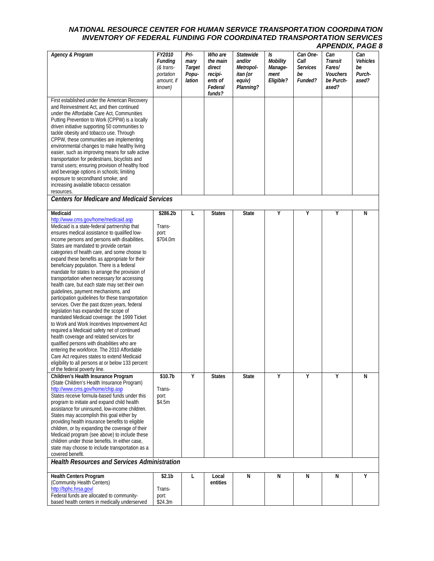| <b>Agency &amp; Program</b>                                                                                                                                                                                                                                                                                                                                                                                                                                                                                                                                                                                                                                                                                                                                                                                                                                                                                                                                                                                                                                                                                                                                     | FY2010<br><b>Funding</b><br>(& trans-<br>portation<br>amount, if<br>known) | Pri-<br>mary<br>Target<br>Popu-<br>lation | Who are<br>the main<br>direct<br>recipi-<br>ents of<br>Federal<br>funds? | Statewide<br>and/or<br>Metropol-<br>itan (or<br>equiv)<br>Planning? | Is<br>Mobility<br>Manage-<br>ment<br>Eligible? | Can One-<br>Call<br><b>Services</b><br>be<br>Funded? | Can<br>Transit<br>Fares/<br><b>Vouchers</b><br>be Purch-<br>ased? | Can<br>Vehicles<br>be<br>Purch-<br>ased? |
|-----------------------------------------------------------------------------------------------------------------------------------------------------------------------------------------------------------------------------------------------------------------------------------------------------------------------------------------------------------------------------------------------------------------------------------------------------------------------------------------------------------------------------------------------------------------------------------------------------------------------------------------------------------------------------------------------------------------------------------------------------------------------------------------------------------------------------------------------------------------------------------------------------------------------------------------------------------------------------------------------------------------------------------------------------------------------------------------------------------------------------------------------------------------|----------------------------------------------------------------------------|-------------------------------------------|--------------------------------------------------------------------------|---------------------------------------------------------------------|------------------------------------------------|------------------------------------------------------|-------------------------------------------------------------------|------------------------------------------|
| First established under the American Recovery<br>and Reinvestment Act, and then continued<br>under the Affordable Care Act, Communities<br>Putting Prevention to Work (CPPW) is a locally<br>driven initiative supporting 50 communities to<br>tackle obesity and tobacco use. Through<br>CPPW, these communities are implementing<br>environmental changes to make healthy living<br>easier, such as improving means for safe active<br>transportation for pedestrians, bicyclists and<br>transit users; ensuring provision of healthy food<br>and beverage options in schools; limiting<br>exposure to secondhand smoke; and<br>increasing available tobacco cessation<br>resources.<br><b>Centers for Medicare and Medicaid Services</b>                                                                                                                                                                                                                                                                                                                                                                                                                     |                                                                            |                                           |                                                                          |                                                                     |                                                |                                                      |                                                                   |                                          |
|                                                                                                                                                                                                                                                                                                                                                                                                                                                                                                                                                                                                                                                                                                                                                                                                                                                                                                                                                                                                                                                                                                                                                                 |                                                                            |                                           |                                                                          |                                                                     |                                                |                                                      |                                                                   |                                          |
| Medicaid<br>http://www.cms.gov/home/medicaid.asp<br>Medicaid is a state-federal partnership that<br>ensures medical assistance to qualified low-<br>income persons and persons with disabilities.<br>States are mandated to provide certain<br>categories of health care, and some choose to<br>expand these benefits as appropriate for their<br>beneficiary population. There is a federal<br>mandate for states to arrange the provision of<br>transportation when necessary for accessing<br>health care, but each state may set their own<br>guidelines, payment mechanisms, and<br>participation quidelines for these transportation<br>services. Over the past dozen years, federal<br>legislation has expanded the scope of<br>mandated Medicaid coverage: the 1999 Ticket<br>to Work and Work Incentives Improvement Act<br>required a Medicaid safety net of continued<br>health coverage and related services for<br>qualified persons with disabilities who are<br>entering the workforce. The 2010 Affordable<br>Care Act requires states to extend Medicaid<br>eligibility to all persons at or below 133 percent<br>of the federal poverty line. | \$286.2b<br>Trans-<br>port:<br>\$704.0m                                    | Г                                         | <b>States</b>                                                            | <b>State</b>                                                        | Υ                                              | $\overline{Y}$                                       | Υ                                                                 | N                                        |
| Children's Health Insurance Program<br>(State Children's Health Insurance Program)<br>http://www.cms.gov/home/chip.asp<br>States receive formula-based funds under this<br>program to initiate and expand child health<br>assistance for uninsured, low-income children.<br>States may accomplish this goal either by<br>providing health insurance benefits to eligible<br>children, or by expanding the coverage of their<br>Medicaid program (see above) to include these<br>children under those benefits. In either case,<br>state may choose to include transportation as a<br>covered benefit.<br><b>Health Resources and Services Administration</b>                                                                                                                                                                                                                                                                                                                                                                                                                                                                                                    | \$10.7b<br>Trans-<br>port:<br>\$4.5m                                       | Υ                                         | <b>States</b>                                                            | <b>State</b>                                                        | Υ                                              | Υ                                                    | Υ                                                                 | N                                        |
|                                                                                                                                                                                                                                                                                                                                                                                                                                                                                                                                                                                                                                                                                                                                                                                                                                                                                                                                                                                                                                                                                                                                                                 |                                                                            |                                           |                                                                          |                                                                     |                                                |                                                      |                                                                   |                                          |
| Health Centers Program<br>(Community Health Centers)<br>http://bphc.hrsa.gov/<br>Federal funds are allocated to community-<br>based health centers in medically underserved                                                                                                                                                                                                                                                                                                                                                                                                                                                                                                                                                                                                                                                                                                                                                                                                                                                                                                                                                                                     | \$2.1 <sub>b</sub><br>Trans-<br>port:<br>\$24.3m                           | L                                         | Local<br>entities                                                        | N                                                                   | Ν                                              | N                                                    | Ν                                                                 | Υ                                        |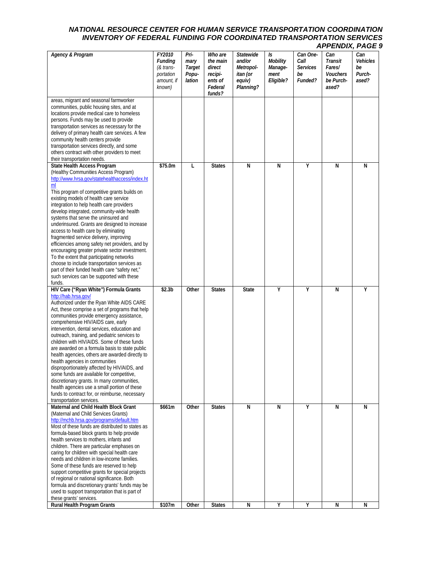| <b>Agency &amp; Program</b>                                                                                                                                                                                                                                                                                                                                                                                                                                                                                                                                                                                                                                                                                                                                                                                                          | FY2010<br><b>Funding</b><br>$&$ trans-<br>portation<br>amount, if<br>known) | Pri-<br>mary<br>Target<br>Popu-<br>lation | Who are<br>the main<br>direct<br>recipi-<br>ents of<br>Federal<br>funds? | Statewide<br>and/or<br>Metropol-<br>itan (or<br>equiv)<br>Planning? | Is<br><b>Mobility</b><br>Manage-<br>ment<br>Eligible? | Can One-<br>Call<br><b>Services</b><br>be<br>Funded? | Can<br>Transit<br>Fares/<br><b>Vouchers</b><br>be Purch-<br>ased? | Can<br>Vehicles<br>be<br>Purch-<br>ased? |
|--------------------------------------------------------------------------------------------------------------------------------------------------------------------------------------------------------------------------------------------------------------------------------------------------------------------------------------------------------------------------------------------------------------------------------------------------------------------------------------------------------------------------------------------------------------------------------------------------------------------------------------------------------------------------------------------------------------------------------------------------------------------------------------------------------------------------------------|-----------------------------------------------------------------------------|-------------------------------------------|--------------------------------------------------------------------------|---------------------------------------------------------------------|-------------------------------------------------------|------------------------------------------------------|-------------------------------------------------------------------|------------------------------------------|
| areas, migrant and seasonal farmworker<br>communities, public housing sites, and at<br>locations provide medical care to homeless<br>persons. Funds may be used to provide<br>transportation services as necessary for the<br>delivery of primary health care services. A few<br>community health centers provide<br>transportation services directly, and some<br>others contract with other providers to meet                                                                                                                                                                                                                                                                                                                                                                                                                      |                                                                             |                                           |                                                                          |                                                                     |                                                       |                                                      |                                                                   |                                          |
| their transportation needs.<br>State Health Access Program<br>(Healthy Communities Access Program)<br>http://www.hrsa.gov/statehealthaccess/index.ht<br>ml<br>This program of competitive grants builds on<br>existing models of health care service<br>integration to help health care providers<br>develop integrated, community-wide health<br>systems that serve the uninsured and<br>underinsured. Grants are designed to increase<br>access to health care by eliminating<br>fragmented service delivery, improving<br>efficiencies among safety net providers, and by<br>encouraging greater private sector investment.<br>To the extent that participating networks<br>choose to include transportation services as<br>part of their funded health care "safety net,"<br>such services can be supported with these<br>funds. | \$75.0m                                                                     | L                                         | <b>States</b>                                                            | $\overline{N}$                                                      | $\overline{N}$                                        | Υ                                                    | N                                                                 | N                                        |
| HIV Care ("Ryan White") Formula Grants<br>http://hab.hrsa.gov/<br>Authorized under the Ryan White AIDS CARE<br>Act, these comprise a set of programs that help<br>communities provide emergency assistance,<br>comprehensive HIV/AIDS care, early<br>intervention, dental services, education and<br>outreach, training, and pediatric services to<br>children with HIV/AIDS. Some of these funds<br>are awarded on a formula basis to state public<br>health agencies, others are awarded directly to<br>health agencies in communities<br>disproportionately affected by HIV/AIDS, and<br>some funds are available for competitive,<br>discretionary grants. In many communities,<br>health agencies use a small portion of these<br>funds to contract for, or reimburse, necessary<br>transportation services.                    | \$2.3 <sub>b</sub>                                                          | Other                                     | <b>States</b>                                                            | <b>State</b>                                                        | Υ                                                     | Υ                                                    | N                                                                 | Y                                        |
| Maternal and Child Health Block Grant<br>(Maternal and Child Services Grants)<br>http://mchb.hrsa.gov/programs/default.htm<br>Most of these funds are distributed to states as<br>formula-based block grants to help provide<br>health services to mothers, infants and<br>children. There are particular emphases on<br>caring for children with special health care<br>needs and children in low-income families.<br>Some of these funds are reserved to help<br>support competitive grants for special projects<br>of regional or national significance. Both<br>formula and discretionary grants' funds may be<br>used to support transportation that is part of<br>these grants' services.                                                                                                                                      | \$661m                                                                      | Other                                     | <b>States</b>                                                            | N                                                                   | N                                                     | Υ                                                    | N                                                                 | N                                        |
| Rural Health Program Grants                                                                                                                                                                                                                                                                                                                                                                                                                                                                                                                                                                                                                                                                                                                                                                                                          | \$107m                                                                      | Other                                     | <b>States</b>                                                            | N                                                                   | Υ                                                     | Υ                                                    | N                                                                 | N                                        |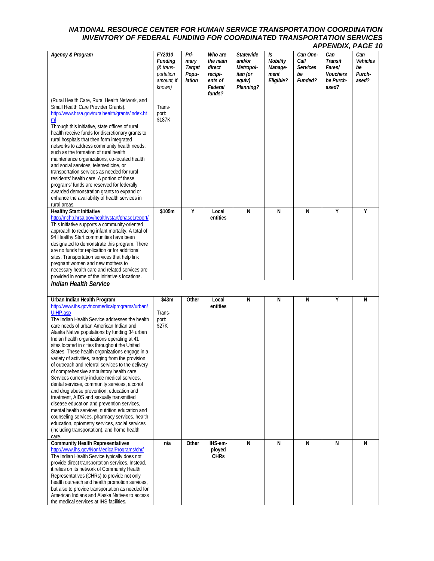| <b>Agency &amp; Program</b>                                                                                                                                                                                                                                                                                                                                                                                                                                                                                                                                                                                                                                                                                                                                                                                                                                                                                                                                                                        | FY2010<br><b>Funding</b><br>(& trans-<br>portation<br>amount, if<br>known) | Pri-<br>mary<br>Target<br>Popu-<br>lation | Who are<br>the main<br>direct<br>recipi-<br>ents of<br>Federal<br>funds? | <b>Statewide</b><br>and/or<br>Metropol-<br>itan (or<br>equiv)<br>Planning? | Is<br>Mobility<br>Manage-<br>ment<br>Eligible? | Can One-<br>Call<br><b>Services</b><br>be<br>Funded? | Can<br>Transit<br>Fares/<br><b>Vouchers</b><br>be Purch-<br>ased? | Can<br>Vehicles<br>be<br>Purch-<br>ased? |
|----------------------------------------------------------------------------------------------------------------------------------------------------------------------------------------------------------------------------------------------------------------------------------------------------------------------------------------------------------------------------------------------------------------------------------------------------------------------------------------------------------------------------------------------------------------------------------------------------------------------------------------------------------------------------------------------------------------------------------------------------------------------------------------------------------------------------------------------------------------------------------------------------------------------------------------------------------------------------------------------------|----------------------------------------------------------------------------|-------------------------------------------|--------------------------------------------------------------------------|----------------------------------------------------------------------------|------------------------------------------------|------------------------------------------------------|-------------------------------------------------------------------|------------------------------------------|
| (Rural Health Care, Rural Health Network, and<br>Small Health Care Provider Grants).<br>http://www.hrsa.gov/ruralhealth/grants/index.ht<br>ml<br>Through this initiative, state offices of rural<br>health receive funds for discretionary grants to<br>rural hospitals that then form integrated<br>networks to address community health needs,<br>such as the formation of rural health<br>maintenance organizations, co-located health<br>and social services, telemedicine, or<br>transportation services as needed for rural<br>residents' health care. A portion of these<br>programs' funds are reserved for federally<br>awarded demonstration grants to expand or<br>enhance the availability of health services in<br>rural areas.                                                                                                                                                                                                                                                       | Trans-<br>port:<br>\$187K                                                  |                                           |                                                                          |                                                                            |                                                |                                                      |                                                                   |                                          |
| <b>Healthy Start Initiative</b><br>http://mchb.hrsa.gov/healthystart/phase1report/<br>This initiative supports a community-oriented<br>approach to reducing infant mortality. A total of<br>94 Healthy Start communities have been<br>designated to demonstrate this program. There<br>are no funds for replication or for additional<br>sites. Transportation services that help link<br>pregnant women and new mothers to<br>necessary health care and related services are<br>provided in some of the initiative's locations.<br><b>Indian Health Service</b>                                                                                                                                                                                                                                                                                                                                                                                                                                   | \$105m                                                                     | Υ                                         | Local<br>entities                                                        | N                                                                          | N                                              | N                                                    | Υ                                                                 | Υ                                        |
|                                                                                                                                                                                                                                                                                                                                                                                                                                                                                                                                                                                                                                                                                                                                                                                                                                                                                                                                                                                                    |                                                                            |                                           |                                                                          |                                                                            |                                                |                                                      |                                                                   |                                          |
| Urban Indian Health Program<br>http://www.ihs.gov/nonmedicalprograms/urban/<br>UIHP.asp<br>The Indian Health Service addresses the health<br>care needs of urban American Indian and<br>Alaska Native populations by funding 34 urban<br>Indian health organizations operating at 41<br>sites located in cities throughout the United<br>States. These health organizations engage in a<br>variety of activities, ranging from the provision<br>of outreach and referral services to the delivery<br>of comprehensive ambulatory health care.<br>Services currently include medical services,<br>dental services, community services, alcohol<br>and drug abuse prevention, education and<br>treatment, AIDS and sexually transmitted<br>disease education and prevention services,<br>mental health services, nutrition education and<br>counseling services, pharmacy services, health<br>education, optometry services, social services<br>(including transportation), and home health<br>care. | \$43m<br>Trans-<br>port:<br>\$27K                                          | Other                                     | Local<br>entities                                                        | N                                                                          | N                                              | N                                                    | Υ                                                                 | N                                        |
| <b>Community Health Representatives</b><br>http://www.ihs.gov/NonMedicalPrograms/chr/<br>The Indian Health Service typically does not<br>provide direct transportation services. Instead,<br>it relies on its network of Community Health<br>Representatives (CHRs) to provide not only<br>health outreach and health promotion services,<br>but also to provide transportation as needed for<br>American Indians and Alaska Natives to access<br>the medical services at IHS facilities.                                                                                                                                                                                                                                                                                                                                                                                                                                                                                                          | n/a                                                                        | Other                                     | IHS-em-<br>ployed<br><b>CHRs</b>                                         | $\overline{N}$                                                             | N                                              | N                                                    | N                                                                 | N                                        |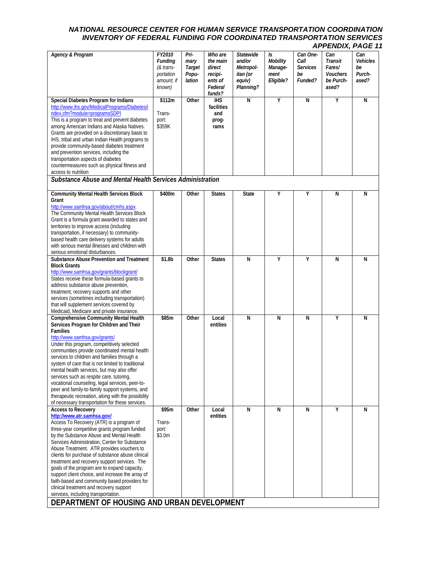| <b>Agency &amp; Program</b>                                                                                                                                                                                                                                                                                                                                                                                                                                                                                                                                                                                                                                                             | FY2010<br>Funding<br>(& trans-<br>portation<br>amount, if<br>known) | Pri-<br>mary<br>Target<br>Popu-<br>lation | Who are<br>the main<br>direct<br>recipi-<br>ents of<br>Federal<br>funds? | <b>Statewide</b><br>and/or<br>Metropol-<br>itan (or<br>equiv)<br>Planning? | Is<br>Mobility<br>Manage-<br>ment<br>Eligible? | Can One-<br>Call<br><b>Services</b><br>be<br>Funded? | Can<br>Transit<br>Fares/<br><b>Vouchers</b><br>be Purch-<br>ased? | Can<br>Vehicles<br>be<br>Purch-<br>ased? |
|-----------------------------------------------------------------------------------------------------------------------------------------------------------------------------------------------------------------------------------------------------------------------------------------------------------------------------------------------------------------------------------------------------------------------------------------------------------------------------------------------------------------------------------------------------------------------------------------------------------------------------------------------------------------------------------------|---------------------------------------------------------------------|-------------------------------------------|--------------------------------------------------------------------------|----------------------------------------------------------------------------|------------------------------------------------|------------------------------------------------------|-------------------------------------------------------------------|------------------------------------------|
| Special Diabetes Program for Indians<br>http://www.ihs.gov/MedicalPrograms/Diabetes/i<br>ndex.cfm?module=programsSDPI<br>This is a program to treat and prevent diabetes<br>among American Indians and Alaska Natives.<br>Grants are provided on a discretionary basis to<br>IHS, tribal and urban Indian Health programs to<br>provide community-based diabetes treatment<br>and prevention services, including the<br>transportation aspects of diabetes<br>countermeasures such as physical fitness and<br>access to nutrition                                                                                                                                                       | \$112m<br>Trans-<br>port:<br>\$359K                                 | Other                                     | <b>IHS</b><br>facilities<br>and<br>prog-<br>rams                         | N                                                                          | Υ                                              | N                                                    | Y                                                                 | N                                        |
| Substance Abuse and Mental Health Services Administration                                                                                                                                                                                                                                                                                                                                                                                                                                                                                                                                                                                                                               |                                                                     |                                           |                                                                          |                                                                            |                                                |                                                      |                                                                   |                                          |
| <b>Community Mental Health Services Block</b><br>Grant<br>http://www.samhsa.gov/about/cmhs.aspx<br>The Community Mental Health Services Block<br>Grant is a formula grant awarded to states and<br>territories to improve access (including<br>transportation, if necessary) to community-<br>based health care delivery systems for adults<br>with serious mental illnesses and children with<br>serious emotional disturbances.                                                                                                                                                                                                                                                       | \$400m                                                              | Other                                     | <b>States</b>                                                            | <b>State</b>                                                               | Υ                                              | Υ                                                    | N                                                                 | N                                        |
| <b>Substance Abuse Prevention and Treatment</b><br><b>Block Grants</b><br>http://www.samhsa.gov/grants/blockgrant/<br>States receive these formula-based grants to<br>address substance abuse prevention,<br>treatment, recovery supports and other<br>services (sometimes including transportation)<br>that will supplement services covered by<br>Medicaid, Medicare and private insurance.                                                                                                                                                                                                                                                                                           | \$1.8 <sub>b</sub>                                                  | Other                                     | <b>States</b>                                                            | $\overline{N}$                                                             | Υ                                              | Υ                                                    | N                                                                 | N                                        |
| <b>Comprehensive Community Mental Health</b><br>Services Program for Children and Their<br><b>Families</b><br>http://www.samhsa.gov/grants/<br>Under this program, competitively selected<br>communities provide coordinated mental health<br>services to children and families through a<br>system of care that is not limited to traditional<br>mental health services, but may also offer<br>services such as respite care, tutoring,<br>vocational counseling, legal services, peer-to-<br>peer and family-to-family support systems, and<br>therapeutic recreation, along with the possibility<br>of necessary transportation for these services.                                  | \$85m                                                               | Other                                     | Local<br>entities                                                        | $\overline{N}$                                                             | N                                              | N                                                    | Υ                                                                 | N                                        |
| <b>Access to Recovery</b><br>http://www.atr.samhsa.gov/<br>Access To Recovery (ATR) is a program of<br>three-year competitive grants program funded<br>by the Substance Abuse and Mental Health<br>Services Administration, Center for Substance<br>Abuse Treatment. ATR provides vouchers to<br>clients for purchase of substance abuse clinical<br>treatment and recovery support services. The<br>goals of the program are to expand capacity,<br>support client choice, and increase the array of<br>faith-based and community based providers for<br>clinical treatment and recovery support<br>services, including transportation.<br>DEPARTMENT OF HOUSING AND URBAN DEVELOPMENT | \$95m<br>Trans-<br>port:<br>\$3.0m                                  | Other                                     | Local<br>entities                                                        | N                                                                          | N                                              | N                                                    | Υ                                                                 | N                                        |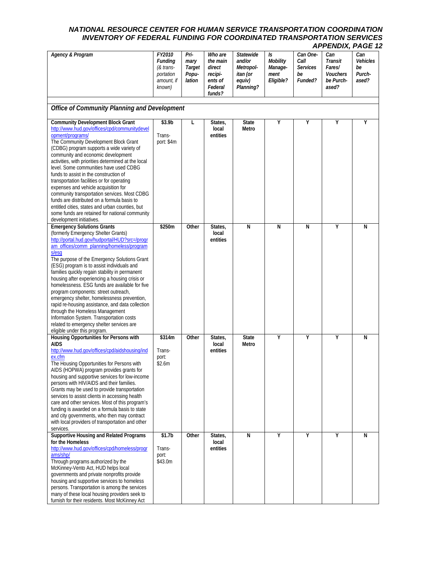| Agency & Program                                                                                                                                                                                                                                                                                                                                                                                                                                                                                                                                                                                                                                                                                                                            | FY2010<br><b>Funding</b><br>(& trans-<br>portation<br>amount, if<br>known) | Pri-<br>mary<br>Target<br>Popu-<br>lation | Who are<br>the main<br>direct<br>recipi-<br>ents of<br>Federal<br>funds? | <b>Statewide</b><br>and/or<br>Metropol-<br>itan (or<br>equiv)<br>Planning? | Is<br><b>Mobility</b><br>Manage-<br>ment<br>Eligible? | Can One-<br>Call<br><b>Services</b><br>be<br>Funded? | Can<br>Transit<br>Fares/<br><b>Vouchers</b><br>be Purch-<br>ased? | Can<br>Vehicles<br>be<br>Purch-<br>ased? |
|---------------------------------------------------------------------------------------------------------------------------------------------------------------------------------------------------------------------------------------------------------------------------------------------------------------------------------------------------------------------------------------------------------------------------------------------------------------------------------------------------------------------------------------------------------------------------------------------------------------------------------------------------------------------------------------------------------------------------------------------|----------------------------------------------------------------------------|-------------------------------------------|--------------------------------------------------------------------------|----------------------------------------------------------------------------|-------------------------------------------------------|------------------------------------------------------|-------------------------------------------------------------------|------------------------------------------|
| Office of Community Planning and Development                                                                                                                                                                                                                                                                                                                                                                                                                                                                                                                                                                                                                                                                                                |                                                                            |                                           |                                                                          |                                                                            |                                                       |                                                      |                                                                   |                                          |
| <b>Community Development Block Grant</b><br>http://www.hud.gov/offices/cpd/communitydevel<br>opment/programs/<br>The Community Development Block Grant<br>(CDBG) program supports a wide variety of<br>community and economic development<br>activities, with priorities determined at the local<br>level. Some communities have used CDBG<br>funds to assist in the construction of<br>transportation facilities or for operating<br>expenses and vehicle acquisition for<br>community transportation services. Most CDBG<br>funds are distributed on a formula basis to<br>entitled cities, states and urban counties, but<br>some funds are retained for national community<br>development initiatives.                                  | \$3.9b<br>Trans-<br>port: \$4m                                             | L                                         | States,<br>local<br>entities                                             | <b>State</b><br>Metro                                                      | Υ                                                     | Υ                                                    | Υ                                                                 | Υ                                        |
| <b>Emergency Solutions Grants</b><br>(formerly Emergency Shelter Grants)<br>http://portal.hud.gov/hudportal/HUD?src=/progr<br>am offices/comm planning/homeless/program<br>s/esq<br>The purpose of the Emergency Solutions Grant<br>(ESG) program is to assist individuals and<br>families quickly regain stability in permanent<br>housing after experiencing a housing crisis or<br>homelessness. ESG funds are available for five<br>program components: street outreach,<br>emergency shelter, homelessness prevention,<br>rapid re-housing assistance, and data collection<br>through the Homeless Management<br>Information System. Transportation costs<br>related to emergency shelter services are<br>eligible under this program. | \$250m                                                                     | Other                                     | States,<br>local<br>entities                                             | N                                                                          | N                                                     | N                                                    | Υ                                                                 | N                                        |
| Housing Opportunities for Persons with<br><b>AIDS</b><br>http://www.hud.gov/offices/cpd/aidshousing/ind<br>ex.cfm<br>The Housing Opportunities for Persons with<br>AIDS (HOPWA) program provides grants for<br>housing and supportive services for low-income<br>persons with HIV/AIDS and their families.<br>Grants may be used to provide transportation<br>services to assist clients in accessing health<br>care and other services. Most of this program's<br>funding is awarded on a formula basis to state<br>and city governments, who then may contract<br>with local providers of transportation and other<br>services.                                                                                                           | \$314m<br>Trans-<br>port:<br>\$2.6m                                        | Other                                     | States,<br>local<br>entities                                             | <b>State</b><br>Metro                                                      | Υ                                                     | Υ                                                    | Υ                                                                 | N                                        |
| <b>Supportive Housing and Related Programs</b><br>for the Homeless<br>http://www.hud.gov/offices/cpd/homeless/progr<br>ams/shp/<br>Through programs authorized by the<br>McKinney-Vento Act, HUD helps local<br>governments and private nonprofits provide<br>housing and supportive services to homeless<br>persons. Transportation is among the services<br>many of these local housing providers seek to<br>furnish for their residents. Most McKinney Act                                                                                                                                                                                                                                                                               | \$1.7 <sub>b</sub><br>Trans-<br>port:<br>\$43.0m                           | Other                                     | States,<br>local<br>entities                                             | $\overline{N}$                                                             | Υ                                                     | Υ                                                    | Υ                                                                 | N                                        |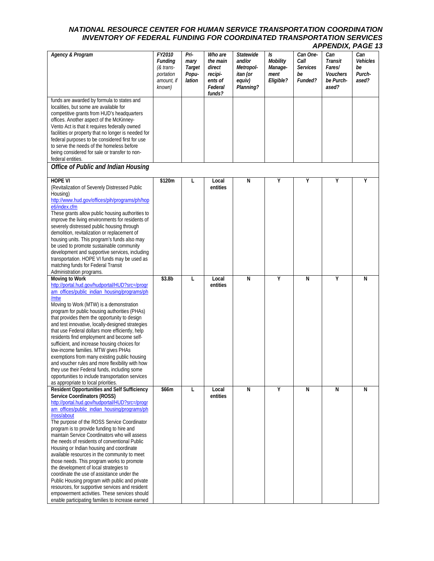| <b>Agency &amp; Program</b>                                                                                                                                                                                                                                                                                                                                                                                                                                                                                                                                                                                                                                                                                                                                                                                                                  | FY2010<br>Funding<br>$&$ trans-<br>portation<br>amount, if<br>known) | Pri-<br>mary<br>Target<br>Popu-<br>lation | Who are<br>the main<br>direct<br>recipi-<br>ents of<br>Federal<br>funds? | <b>Statewide</b><br>and/or<br>Metropol-<br>itan (or<br>equiv)<br>Planning? | Is<br>Mobility<br>Manage-<br>ment<br>Eligible? | Can One-<br>Call<br><b>Services</b><br>be<br>Funded? | Can<br>Transit<br>Fares/<br>Vouchers<br>be Purch-<br>ased? | Can<br>Vehicles<br>be<br>Purch-<br>ased? |
|----------------------------------------------------------------------------------------------------------------------------------------------------------------------------------------------------------------------------------------------------------------------------------------------------------------------------------------------------------------------------------------------------------------------------------------------------------------------------------------------------------------------------------------------------------------------------------------------------------------------------------------------------------------------------------------------------------------------------------------------------------------------------------------------------------------------------------------------|----------------------------------------------------------------------|-------------------------------------------|--------------------------------------------------------------------------|----------------------------------------------------------------------------|------------------------------------------------|------------------------------------------------------|------------------------------------------------------------|------------------------------------------|
| funds are awarded by formula to states and<br>localities, but some are available for<br>competitive grants from HUD's headquarters<br>offices. Another aspect of the McKinney-<br>Vento Act is that it requires federally owned<br>facilities or property that no longer is needed for<br>federal purposes to be considered first for use<br>to serve the needs of the homeless before<br>being considered for sale or transfer to non-<br>federal entities.                                                                                                                                                                                                                                                                                                                                                                                 |                                                                      |                                           |                                                                          |                                                                            |                                                |                                                      |                                                            |                                          |
| Office of Public and Indian Housing                                                                                                                                                                                                                                                                                                                                                                                                                                                                                                                                                                                                                                                                                                                                                                                                          |                                                                      |                                           |                                                                          |                                                                            |                                                |                                                      |                                                            |                                          |
| <b>HOPE VI</b><br>(Revitalization of Severely Distressed Public<br>Housing)<br>http://www.hud.gov/offices/pih/programs/ph/hop<br>e6/index.cfm<br>These grants allow public housing authorities to<br>improve the living environments for residents of<br>severely distressed public housing through<br>demolition, revitalization or replacement of<br>housing units. This program's funds also may<br>be used to promote sustainable community<br>development and supportive services, including<br>transportation. HOPE VI funds may be used as<br>matching funds for Federal Transit<br>Administration programs.                                                                                                                                                                                                                          | \$120m                                                               | L                                         | Local<br>entities                                                        | N                                                                          | Υ                                              | Υ                                                    | Υ                                                          | Υ                                        |
| Moving to Work<br>http://portal.hud.gov/hudportal/HUD?src=/progr<br>am_offices/public_indian_housing/programs/ph<br>/mtw<br>Moving to Work (MTW) is a demonstration<br>program for public housing authorities (PHAs)<br>that provides them the opportunity to design<br>and test innovative, locally-designed strategies<br>that use Federal dollars more efficiently, help<br>residents find employment and become self-<br>sufficient, and increase housing choices for<br>low-income families. MTW gives PHAs<br>exemptions from many existing public housing<br>and voucher rules and more flexibility with how<br>they use their Federal funds, including some<br>opportunities to include transportation services<br>as appropriate to local priorities.                                                                               | \$3.8b                                                               | L                                         | Local<br>entities                                                        | N                                                                          | Υ                                              | N                                                    | Υ                                                          | N                                        |
| Resident Opportunities and Self Sufficiency<br><b>Service Coordinators (ROSS)</b><br>http://portal.hud.gov/hudportal/HUD?src=/progr<br>am_offices/public_indian_housing/programs/ph<br>/ross/about<br>The purpose of the ROSS Service Coordinator<br>program is to provide funding to hire and<br>maintain Service Coordinators who will assess<br>the needs of residents of conventional Public<br>Housing or Indian housing and coordinate<br>available resources in the community to meet<br>those needs. This program works to promote<br>the development of local strategies to<br>coordinate the use of assistance under the<br>Public Housing program with public and private<br>resources, for supportive services and resident<br>empowerment activities. These services should<br>enable participating families to increase earned | \$66m                                                                | L                                         | Local<br>entities                                                        | N                                                                          | Υ                                              | N                                                    | N                                                          | N                                        |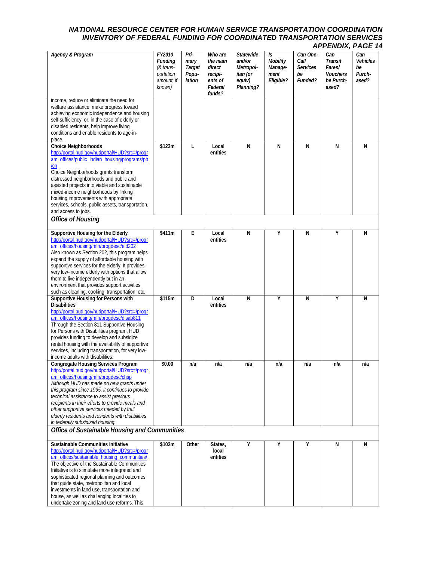| <b>Agency &amp; Program</b>                                                                                                                                                                                                                                                                                                                                                                                                                                                       | FY2010<br><b>Funding</b><br>(& trans-<br>portation<br>amount, if<br>known) | Pri-<br>mary<br>Target<br>Popu-<br>lation | Who are<br>the main<br>direct<br>recipi-<br>ents of<br>Federal<br>funds? | <b>Statewide</b><br>and/or<br>Metropol-<br>itan (or<br>equiv)<br>Planning? | Is<br><b>Mobility</b><br>Manage-<br>ment<br>Eligible? | Can One-<br>Call<br><b>Services</b><br>be<br>Funded? | Can<br><b>Transit</b><br>Fares/<br><b>Vouchers</b><br>be Purch-<br>ased? | Can<br><b>Vehicles</b><br>be<br>Purch-<br>ased? |
|-----------------------------------------------------------------------------------------------------------------------------------------------------------------------------------------------------------------------------------------------------------------------------------------------------------------------------------------------------------------------------------------------------------------------------------------------------------------------------------|----------------------------------------------------------------------------|-------------------------------------------|--------------------------------------------------------------------------|----------------------------------------------------------------------------|-------------------------------------------------------|------------------------------------------------------|--------------------------------------------------------------------------|-------------------------------------------------|
| income, reduce or eliminate the need for<br>welfare assistance, make progress toward<br>achieving economic independence and housing<br>self-sufficiency, or, in the case of elderly or<br>disabled residents, help improve living<br>conditions and enable residents to age-in-<br>place.                                                                                                                                                                                         |                                                                            |                                           |                                                                          |                                                                            |                                                       |                                                      |                                                                          |                                                 |
| <b>Choice Neighborhoods</b><br>http://portal.hud.gov/hudportal/HUD?src=/progr<br>am_offices/public_indian_housing/programs/ph<br>/cn<br>Choice Neighborhoods grants transform<br>distressed neighborhoods and public and<br>assisted projects into viable and sustainable<br>mixed-income neighborhoods by linking<br>housing improvements with appropriate<br>services, schools, public assets, transportation,<br>and access to jobs.                                           | \$122m                                                                     | L                                         | Local<br>entities                                                        | N                                                                          | N                                                     | N                                                    | N                                                                        | N                                               |
| <b>Office of Housing</b>                                                                                                                                                                                                                                                                                                                                                                                                                                                          |                                                                            |                                           |                                                                          |                                                                            |                                                       |                                                      |                                                                          |                                                 |
| Supportive Housing for the Elderly<br>http://portal.hud.gov/hudportal/HUD?src=/progr<br>am offices/housing/mfh/progdesc/eld202<br>Also known as Section 202, this program helps<br>expand the supply of affordable housing with<br>supportive services for the elderly. It provides<br>very low-income elderly with options that allow<br>them to live independently but in an<br>environment that provides support activities<br>such as cleaning, cooking, transportation, etc. | \$411m                                                                     | E                                         | Local<br>entities                                                        | N                                                                          | Υ                                                     | N                                                    | Υ                                                                        | N                                               |
| Supportive Housing for Persons with<br><b>Disabilities</b><br>http://portal.hud.gov/hudportal/HUD?src=/progr<br>am_offices/housing/mfh/progdesc/disab811<br>Through the Section 811 Supportive Housing<br>for Persons with Disabilities program, HUD<br>provides funding to develop and subsidize<br>rental housing with the availability of supportive<br>services, including transportation, for very low-<br>income adults with disabilities.                                  | \$115m                                                                     | D                                         | Local<br>entities                                                        | N                                                                          | Υ                                                     | N                                                    | Υ                                                                        | N                                               |
| <b>Congregate Housing Services Program</b><br>http://portal.hud.gov/hudportal/HUD?src=/progr<br>am offices/housing/mfh/progdesc/chsp<br>Although HUD has made no new grants under<br>this program since 1995, it continues to provide<br>technical assistance to assist previous<br>recipients in their efforts to provide meals and<br>other supportive services needed by frail<br>elderly residents and residents with disabilities<br>in federally subsidized housing.        | \$0.00                                                                     | n/a                                       | n/a                                                                      | n/a                                                                        | n/a                                                   | n/a                                                  | n/a                                                                      | n/a                                             |
| Office of Sustainable Housing and Communities                                                                                                                                                                                                                                                                                                                                                                                                                                     |                                                                            |                                           |                                                                          |                                                                            |                                                       |                                                      |                                                                          |                                                 |
| Sustainable Communities Initiative<br>http://portal.hud.gov/hudportal/HUD?src=/progr<br>am_offices/sustainable_housing_communities/<br>The objective of the Sustainable Communities<br>Initiative is to stimulate more integrated and<br>sophisticated regional planning and outcomes<br>that guide state, metropolitan and local<br>investments in land use, transportation and<br>house, as well as challenging localities to<br>undertake zoning and land use reforms. This    | \$102m                                                                     | Other                                     | States,<br>local<br>entities                                             | Υ                                                                          | Υ                                                     | Υ                                                    | N                                                                        | N                                               |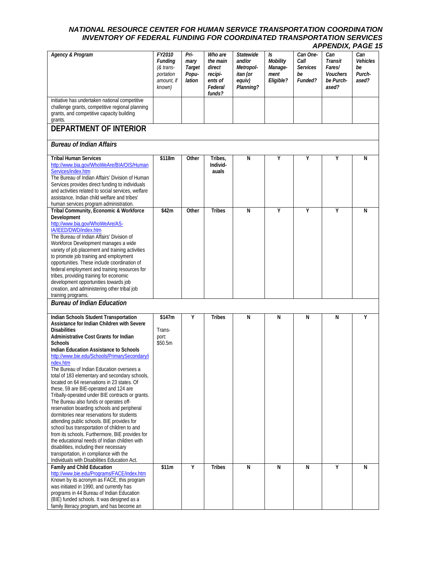| <b>Agency &amp; Program</b>                                                                                                                                                                                                                                                                                                                                                                                                                                                                                                                                                                                                                                                                                                                                                                                                                                                                                                                                                                                   | FY2010<br>Funding<br>(& trans-<br>portation<br>amount, if<br>known) | Pri-<br>mary<br><b>Target</b><br>Popu-<br>lation | Who are<br>the main<br>direct<br>recipi-<br>ents of<br>Federal<br>funds? | Statewide<br>and/or<br>Metropol-<br>itan (or<br>equiv)<br>Planning? | Is<br>Mobility<br>Manage-<br>ment<br>Eligible? | Can One-<br>Call<br><b>Services</b><br>be<br>Funded? | Can<br>Transit<br>Fares/<br><b>Vouchers</b><br>be Purch-<br>ased? | Can<br>Vehicles<br>be<br>Purch-<br>ased? |
|---------------------------------------------------------------------------------------------------------------------------------------------------------------------------------------------------------------------------------------------------------------------------------------------------------------------------------------------------------------------------------------------------------------------------------------------------------------------------------------------------------------------------------------------------------------------------------------------------------------------------------------------------------------------------------------------------------------------------------------------------------------------------------------------------------------------------------------------------------------------------------------------------------------------------------------------------------------------------------------------------------------|---------------------------------------------------------------------|--------------------------------------------------|--------------------------------------------------------------------------|---------------------------------------------------------------------|------------------------------------------------|------------------------------------------------------|-------------------------------------------------------------------|------------------------------------------|
| initiative has undertaken national competitive<br>challenge grants, competitive regional planning<br>grants, and competitive capacity building<br>grants.                                                                                                                                                                                                                                                                                                                                                                                                                                                                                                                                                                                                                                                                                                                                                                                                                                                     |                                                                     |                                                  |                                                                          |                                                                     |                                                |                                                      |                                                                   |                                          |
| <b>DEPARTMENT OF INTERIOR</b>                                                                                                                                                                                                                                                                                                                                                                                                                                                                                                                                                                                                                                                                                                                                                                                                                                                                                                                                                                                 |                                                                     |                                                  |                                                                          |                                                                     |                                                |                                                      |                                                                   |                                          |
| <b>Bureau of Indian Affairs</b>                                                                                                                                                                                                                                                                                                                                                                                                                                                                                                                                                                                                                                                                                                                                                                                                                                                                                                                                                                               |                                                                     |                                                  |                                                                          |                                                                     |                                                |                                                      |                                                                   |                                          |
| <b>Tribal Human Services</b><br>http://www.bia.gov/WhoWeAre/BIA/OIS/Human<br>Services/index.htm<br>The Bureau of Indian Affairs' Division of Human<br>Services provides direct funding to individuals<br>and activities related to social services, welfare<br>assistance. Indian child welfare and tribes'<br>human services program administration.                                                                                                                                                                                                                                                                                                                                                                                                                                                                                                                                                                                                                                                         | \$118m                                                              | Other                                            | Tribes,<br>Individ-<br>auals                                             | N                                                                   | Υ                                              | Υ                                                    | Υ                                                                 | N                                        |
| Tribal Community, Economic & Workforce<br>Development<br>http://www.bia.gov/WhoWeAre/AS-<br>IA/IEED/DWD/index.htm<br>The Bureau of Indian Affairs' Division of<br>Workforce Development manages a wide<br>variety of job placement and training activities<br>to promote job training and employment<br>opportunities. These include coordination of<br>federal employment and training resources for<br>tribes, providing training for economic<br>development opportunities towards job<br>creation, and administering other tribal job<br>training programs.                                                                                                                                                                                                                                                                                                                                                                                                                                               | \$42m                                                               | Other                                            | <b>Tribes</b>                                                            | N                                                                   | Υ                                              | Υ                                                    | Υ                                                                 | N                                        |
| <b>Bureau of Indian Education</b>                                                                                                                                                                                                                                                                                                                                                                                                                                                                                                                                                                                                                                                                                                                                                                                                                                                                                                                                                                             |                                                                     |                                                  |                                                                          |                                                                     |                                                |                                                      |                                                                   |                                          |
| Indian Schools Student Transportation<br>Assistance for Indian Children with Severe<br><b>Disabilities</b><br>Administrative Cost Grants for Indian<br><b>Schools</b><br><b>Indian Education Assistance to Schools</b><br>http://www.bie.edu/Schools/PrimarySecondary/i<br>ndex.htm<br>The Bureau of Indian Education oversees a<br>total of 183 elementary and secondary schools,<br>located on 64 reservations in 23 states. Of<br>these, 59 are BIE-operated and 124 are<br>Tribally-operated under BIE contracts or grants.<br>The Bureau also funds or operates off-<br>reservation boarding schools and peripheral<br>dormitories near reservations for students<br>attending public schools. BIE provides for<br>school bus transportation of children to and<br>from its schools. Furthermore, BIE provides for<br>the educational needs of Indian children with<br>disabilities, including their necessary<br>transportation, in compliance with the<br>Individuals with Disabilities Education Act. | \$147m<br>Trans-<br>port:<br>\$50.5m                                | Υ                                                | <b>Tribes</b>                                                            | N                                                                   | N                                              | N                                                    | N                                                                 | Υ                                        |
| Family and Child Education<br>http://www.bie.edu/Programs/FACE/index.htm<br>Known by its acronym as FACE, this program<br>was initiated in 1990, and currently has<br>programs in 44 Bureau of Indian Education<br>(BIE) funded schools. It was designed as a<br>family literacy program, and has become an                                                                                                                                                                                                                                                                                                                                                                                                                                                                                                                                                                                                                                                                                                   | \$11m                                                               | Y                                                | <b>Tribes</b>                                                            | N                                                                   | N                                              | N                                                    | Υ                                                                 | N                                        |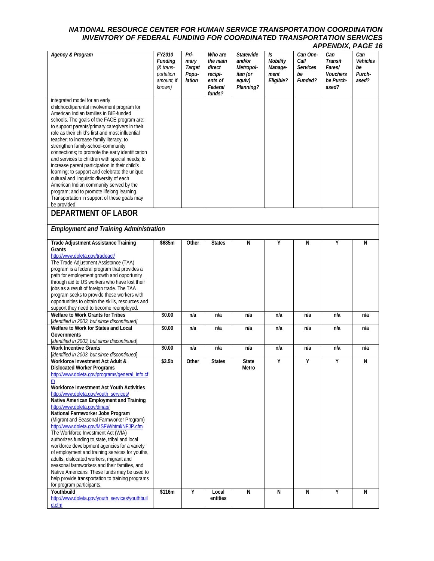| <b>Agency &amp; Program</b>                                                                        | FY2010<br>Funding<br>(& trans-<br>portation<br>amount, if<br>known) | Pri-<br>mary<br>Target<br>Popu-<br>lation | Who are<br>the main<br>direct<br>recipi-<br>ents of<br>Federal<br>funds? | <b>Statewide</b><br>and/or<br>Metropol-<br>itan (or<br>equiv)<br>Planning? | Is<br>Mobility<br>Manage-<br>ment<br>Eligible? | Can One-<br>Call<br><b>Services</b><br>be<br>Funded? | Can<br>Transit<br>Fares/<br><b>Vouchers</b><br>be Purch-<br>ased? | Can<br><b>Vehicles</b><br>be<br>Purch-<br>ased? |
|----------------------------------------------------------------------------------------------------|---------------------------------------------------------------------|-------------------------------------------|--------------------------------------------------------------------------|----------------------------------------------------------------------------|------------------------------------------------|------------------------------------------------------|-------------------------------------------------------------------|-------------------------------------------------|
| integrated model for an early                                                                      |                                                                     |                                           |                                                                          |                                                                            |                                                |                                                      |                                                                   |                                                 |
| childhood/parental involvement program for<br>American Indian families in BIE-funded               |                                                                     |                                           |                                                                          |                                                                            |                                                |                                                      |                                                                   |                                                 |
| schools. The goals of the FACE program are:                                                        |                                                                     |                                           |                                                                          |                                                                            |                                                |                                                      |                                                                   |                                                 |
| to support parents/primary caregivers in their<br>role as their child's first and most influential |                                                                     |                                           |                                                                          |                                                                            |                                                |                                                      |                                                                   |                                                 |
| teacher; to increase family literacy; to                                                           |                                                                     |                                           |                                                                          |                                                                            |                                                |                                                      |                                                                   |                                                 |
| strengthen family-school-community<br>connections; to promote the early identification             |                                                                     |                                           |                                                                          |                                                                            |                                                |                                                      |                                                                   |                                                 |
| and services to children with special needs; to                                                    |                                                                     |                                           |                                                                          |                                                                            |                                                |                                                      |                                                                   |                                                 |
| increase parent participation in their child's<br>learning; to support and celebrate the unique    |                                                                     |                                           |                                                                          |                                                                            |                                                |                                                      |                                                                   |                                                 |
| cultural and linguistic diversity of each<br>American Indian community served by the               |                                                                     |                                           |                                                                          |                                                                            |                                                |                                                      |                                                                   |                                                 |
| program; and to promote lifelong learning.                                                         |                                                                     |                                           |                                                                          |                                                                            |                                                |                                                      |                                                                   |                                                 |
| Transportation in support of these goals may<br>be provided.                                       |                                                                     |                                           |                                                                          |                                                                            |                                                |                                                      |                                                                   |                                                 |
| <b>DEPARTMENT OF LABOR</b>                                                                         |                                                                     |                                           |                                                                          |                                                                            |                                                |                                                      |                                                                   |                                                 |
| <b>Employment and Training Administration</b>                                                      |                                                                     |                                           |                                                                          |                                                                            |                                                |                                                      |                                                                   |                                                 |
| <b>Trade Adjustment Assistance Training</b><br>Grants                                              | \$685m                                                              | Other                                     | <b>States</b>                                                            | N                                                                          | Υ                                              | N                                                    | Υ                                                                 | N                                               |
| http://www.doleta.gov/tradeact/                                                                    |                                                                     |                                           |                                                                          |                                                                            |                                                |                                                      |                                                                   |                                                 |
| The Trade Adjustment Assistance (TAA)<br>program is a federal program that provides a              |                                                                     |                                           |                                                                          |                                                                            |                                                |                                                      |                                                                   |                                                 |
| path for employment growth and opportunity                                                         |                                                                     |                                           |                                                                          |                                                                            |                                                |                                                      |                                                                   |                                                 |
| through aid to US workers who have lost their<br>jobs as a result of foreign trade. The TAA        |                                                                     |                                           |                                                                          |                                                                            |                                                |                                                      |                                                                   |                                                 |
| program seeks to provide these workers with<br>opportunities to obtain the skills, resources and   |                                                                     |                                           |                                                                          |                                                                            |                                                |                                                      |                                                                   |                                                 |
| support they need to become reemployed.                                                            |                                                                     |                                           |                                                                          |                                                                            |                                                |                                                      |                                                                   |                                                 |
| Welfare to Work Grants for Tribes<br>[identified in 2003, but since discontinued]                  | \$0.00                                                              | n/a                                       | n/a                                                                      | n/a                                                                        | n/a                                            | n/a                                                  | n/a                                                               | n/a                                             |
| Welfare to Work for States and Local                                                               | \$0.00                                                              | n/a                                       | n/a                                                                      | n/a                                                                        | n/a                                            | n/a                                                  | n/a                                                               | n/a                                             |
| Governments<br>[identified in 2003, but since discontinued]                                        |                                                                     |                                           |                                                                          |                                                                            |                                                |                                                      |                                                                   |                                                 |
| <b>Work Incentive Grants</b><br>[identified in 2003, but since discontinued]                       | \$0.00                                                              | n/a                                       | n/a                                                                      | n/a                                                                        | n/a                                            | n/a                                                  | n/a                                                               | n/a                                             |
| Workforce Investment Act Adult &                                                                   | \$3.5b                                                              | Other                                     | <b>States</b>                                                            | <b>State</b>                                                               | Υ                                              | Υ                                                    | Y                                                                 | N                                               |
| <b>Dislocated Worker Programs</b><br>http://www.doleta.gov/programs/general_info.cf                |                                                                     |                                           |                                                                          | Metro                                                                      |                                                |                                                      |                                                                   |                                                 |
| m<br>Workforce Investment Act Youth Activities                                                     |                                                                     |                                           |                                                                          |                                                                            |                                                |                                                      |                                                                   |                                                 |
| http://www.doleta.gov/youth_services/                                                              |                                                                     |                                           |                                                                          |                                                                            |                                                |                                                      |                                                                   |                                                 |
| Native American Employment and Training<br>http://www.doleta.gov/dinap/                            |                                                                     |                                           |                                                                          |                                                                            |                                                |                                                      |                                                                   |                                                 |
| National Farmworker Jobs Program                                                                   |                                                                     |                                           |                                                                          |                                                                            |                                                |                                                      |                                                                   |                                                 |
| (Migrant and Seasonal Farmworker Program)<br>http://www.doleta.gov/MSFW/html/NFJP.cfm              |                                                                     |                                           |                                                                          |                                                                            |                                                |                                                      |                                                                   |                                                 |
| The Workforce Investment Act (WIA)                                                                 |                                                                     |                                           |                                                                          |                                                                            |                                                |                                                      |                                                                   |                                                 |
| authorizes funding to state, tribal and local<br>workforce development agencies for a variety      |                                                                     |                                           |                                                                          |                                                                            |                                                |                                                      |                                                                   |                                                 |
| of employment and training services for youths,                                                    |                                                                     |                                           |                                                                          |                                                                            |                                                |                                                      |                                                                   |                                                 |
| adults, dislocated workers, migrant and<br>seasonal farmworkers and their families, and            |                                                                     |                                           |                                                                          |                                                                            |                                                |                                                      |                                                                   |                                                 |
| Native Americans. These funds may be used to<br>help provide transportation to training programs   |                                                                     |                                           |                                                                          |                                                                            |                                                |                                                      |                                                                   |                                                 |
| for program participants.                                                                          |                                                                     |                                           |                                                                          |                                                                            |                                                |                                                      |                                                                   |                                                 |
| Youthbuild<br>http://www.doleta.gov/youth_services/youthbuil                                       | \$116m                                                              | Y                                         | Local<br>entities                                                        | N                                                                          | N                                              | N                                                    | Υ                                                                 | N                                               |
| d.cfm                                                                                              |                                                                     |                                           |                                                                          |                                                                            |                                                |                                                      |                                                                   |                                                 |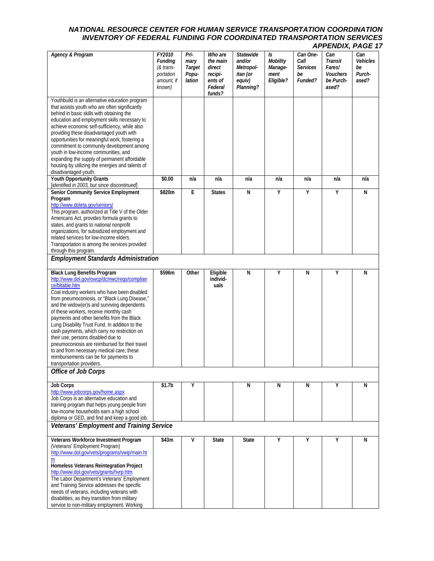|                                                                                                                                                                                                                                                                                                                                                                                                                                                                                                                                                                                                                                                          |                                                                            |                                           |                                                                          |                                                                            |                                                |                                                      | енову г                                                           | 795 I                                    |
|----------------------------------------------------------------------------------------------------------------------------------------------------------------------------------------------------------------------------------------------------------------------------------------------------------------------------------------------------------------------------------------------------------------------------------------------------------------------------------------------------------------------------------------------------------------------------------------------------------------------------------------------------------|----------------------------------------------------------------------------|-------------------------------------------|--------------------------------------------------------------------------|----------------------------------------------------------------------------|------------------------------------------------|------------------------------------------------------|-------------------------------------------------------------------|------------------------------------------|
| Agency & Program                                                                                                                                                                                                                                                                                                                                                                                                                                                                                                                                                                                                                                         | FY2010<br><b>Funding</b><br>(& trans-<br>portation<br>amount, if<br>known) | Pri-<br>mary<br>Target<br>Popu-<br>lation | Who are<br>the main<br>direct<br>recipi-<br>ents of<br>Federal<br>funds? | <b>Statewide</b><br>and/or<br>Metropol-<br>itan (or<br>equiv)<br>Planning? | Is<br>Mobility<br>Manage-<br>ment<br>Eligible? | Can One-<br>Call<br><b>Services</b><br>be<br>Funded? | Can<br><b>Transit</b><br>Fares/<br>Vouchers<br>be Purch-<br>ased? | Can<br>Vehicles<br>be<br>Purch-<br>ased? |
| Youthbuild is an alternative education program<br>that assists youth who are often significantly<br>behind in basic skills with obtaining the<br>education and employment skills necessary to<br>achieve economic self-sufficiency, while also<br>providing these disadvantaged youth with<br>opportunities for meaningful work, fostering a<br>commitment to community development among<br>youth in low-income communities, and<br>expanding the supply of permanent affordable<br>housing by utilizing the energies and talents of<br>disadvantaged youth.                                                                                            |                                                                            |                                           |                                                                          |                                                                            |                                                |                                                      |                                                                   |                                          |
| <b>Youth Opportunity Grants</b><br>[identified in 2003, but since discontinued]                                                                                                                                                                                                                                                                                                                                                                                                                                                                                                                                                                          | \$0.00                                                                     | n/a                                       | n/a                                                                      | n/a                                                                        | n/a                                            | n/a                                                  | n/a                                                               | n/a                                      |
| <b>Senior Community Service Employment</b><br>Program<br>http://www.doleta.gov/seniors/<br>This program, authorized at Title V of the Older<br>Americans Act, provides formula grants to<br>states, and grants to national nonprofit<br>organizations, for subsidized employment and<br>related services for low-income elders.<br>Transportation is among the services provided<br>through this program.                                                                                                                                                                                                                                                | \$820m                                                                     | E                                         | <b>States</b>                                                            | N                                                                          | Y                                              | Υ                                                    | Υ                                                                 | N                                        |
| <b>Employment Standards Administration</b>                                                                                                                                                                                                                                                                                                                                                                                                                                                                                                                                                                                                               |                                                                            |                                           |                                                                          |                                                                            |                                                |                                                      |                                                                   |                                          |
| <b>Black Lung Benefits Program</b><br>http://www.dol.gov/owcp/dcmwc/regs/complian<br>ce/bltable.htm<br>Coal industry workers who have been disabled<br>from pneumoconiosis, or "Black Lung Disease,"<br>and the widow(er)s and surviving dependents<br>of these workers, receive monthly cash<br>payments and other benefits from the Black<br>Lung Disability Trust Fund. In addition to the<br>cash payments, which carry no restriction on<br>their use, persons disabled due to<br>pneumoconiosis are reimbursed for their travel<br>to and from necessary medical care; these<br>reimbursements can be for payments to<br>transportation providers. | \$596m                                                                     | Other                                     | Eligible<br>individ-<br>uals                                             | N                                                                          | Y                                              | N                                                    | Υ                                                                 | N                                        |
| Office of Job Corps                                                                                                                                                                                                                                                                                                                                                                                                                                                                                                                                                                                                                                      |                                                                            |                                           |                                                                          |                                                                            |                                                |                                                      |                                                                   |                                          |
| <b>Job Corps</b><br>http://www.jobcorps.gov/home.aspx<br>Job Corps is an alternative education and<br>training program that helps young people from<br>low-income households earn a high school<br>diploma or GED, and find and keep a good job.                                                                                                                                                                                                                                                                                                                                                                                                         | \$1.7b                                                                     | Υ                                         |                                                                          | N                                                                          | N                                              | N                                                    | Υ                                                                 | N                                        |
| Veterans' Employment and Training Service                                                                                                                                                                                                                                                                                                                                                                                                                                                                                                                                                                                                                |                                                                            |                                           |                                                                          |                                                                            |                                                |                                                      |                                                                   |                                          |
| Veterans Workforce Investment Program<br>(Veterans' Employment Program)<br>http://www.dol.gov/vets/programs/vwip/main.ht<br>m<br>Homeless Veterans Reintegration Project<br>http://www.dol.gov/vets/grants/hvrp.htm<br>The Labor Department's Veterans' Employment<br>and Training Service addresses the specific<br>needs of veterans, including veterans with<br>disabilities, as they transition from military<br>service to non-military employment. Working                                                                                                                                                                                         | \$43m                                                                      | ٧                                         | <b>State</b>                                                             | <b>State</b>                                                               | Υ                                              | Υ                                                    | Υ                                                                 | N                                        |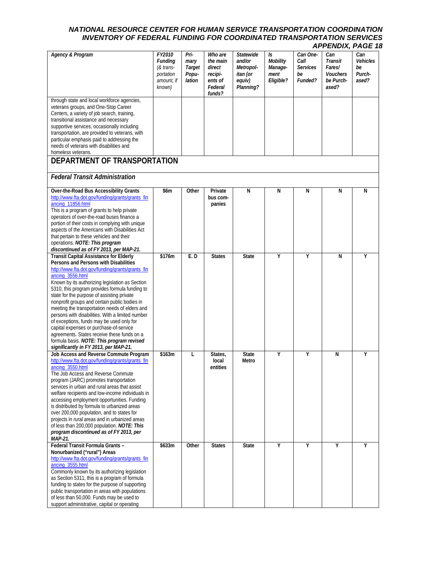|                                                                                                                                                                                                                                                                                                                                                                                                                                                                                                                                                                                                                                                                                                       |                                                                            |                                           |                                                                          |                                                                            |                                                |                                                      | <b>LIVERY,</b>                                                    |                                          |
|-------------------------------------------------------------------------------------------------------------------------------------------------------------------------------------------------------------------------------------------------------------------------------------------------------------------------------------------------------------------------------------------------------------------------------------------------------------------------------------------------------------------------------------------------------------------------------------------------------------------------------------------------------------------------------------------------------|----------------------------------------------------------------------------|-------------------------------------------|--------------------------------------------------------------------------|----------------------------------------------------------------------------|------------------------------------------------|------------------------------------------------------|-------------------------------------------------------------------|------------------------------------------|
| <b>Agency &amp; Program</b>                                                                                                                                                                                                                                                                                                                                                                                                                                                                                                                                                                                                                                                                           | FY2010<br><b>Funding</b><br>(& trans-<br>portation<br>amount, if<br>known) | Pri-<br>mary<br>Target<br>Popu-<br>lation | Who are<br>the main<br>direct<br>recipi-<br>ents of<br>Federal<br>funds? | <b>Statewide</b><br>and/or<br>Metropol-<br>itan (or<br>equiv)<br>Planning? | Is<br>Mobility<br>Manage-<br>ment<br>Eligible? | Can One-<br>Call<br><b>Services</b><br>be<br>Funded? | Can<br>Transit<br>Fares/<br><b>Vouchers</b><br>be Purch-<br>ased? | Can<br>Vehicles<br>be<br>Purch-<br>ased? |
| through state and local workforce agencies,<br>veterans groups, and One-Stop Career<br>Centers, a variety of job search, training,<br>transitional assistance and necessary<br>supportive services, occasionally including<br>transportation, are provided to veterans, with<br>particular emphasis paid to addressing the<br>needs of veterans with disabilities and<br>homeless veterans.                                                                                                                                                                                                                                                                                                           |                                                                            |                                           |                                                                          |                                                                            |                                                |                                                      |                                                                   |                                          |
| DEPARTMENT OF TRANSPORTATION                                                                                                                                                                                                                                                                                                                                                                                                                                                                                                                                                                                                                                                                          |                                                                            |                                           |                                                                          |                                                                            |                                                |                                                      |                                                                   |                                          |
| <b>Federal Transit Administration</b>                                                                                                                                                                                                                                                                                                                                                                                                                                                                                                                                                                                                                                                                 |                                                                            |                                           |                                                                          |                                                                            |                                                |                                                      |                                                                   |                                          |
| Over-the-Road Bus Accessibility Grants<br>http://www.fta.dot.gov/funding/grants/grants fin<br>ancing 11856.html<br>This is a program of grants to help private<br>operators of over-the-road buses finance a<br>portion of their costs in complying with unique<br>aspects of the Americans with Disabilities Act<br>that pertain to these vehicles and their<br>operations. NOTE: This program<br>discontinued as of FY 2013, per MAP-21.                                                                                                                                                                                                                                                            | \$6m                                                                       | Other                                     | Private<br>bus com-<br>panies                                            | N                                                                          | N                                              | N                                                    | N                                                                 | N                                        |
| <b>Transit Capital Assistance for Elderly</b><br>Persons and Persons with Disabilities<br>http://www.fta.dot.gov/funding/grants/grants fin<br>ancing_3556.html<br>Known by its authorizing legislation as Section<br>5310, this program provides formula funding to<br>state for the purpose of assisting private<br>nonprofit groups and certain public bodies in<br>meeting the transportation needs of elders and<br>persons with disabilities. With a limited number<br>of exceptions, funds may be used only for<br>capital expenses or purchase-of-service<br>agreements. States receive these funds on a<br>formula basis. NOTE: This program revised<br>significantly in FY 2013, per MAP-21. | \$176m                                                                     | E.D                                       | <b>States</b>                                                            | <b>State</b>                                                               | Υ                                              | Y                                                    | N                                                                 | Υ                                        |
| Job Access and Reverse Commute Program<br>http://www.fta.dot.gov/funding/grants/grants fin<br>ancing 3550.html<br>The Job Access and Reverse Commute<br>program (JARC) promotes transportation<br>services in urban and rural areas that assist<br>welfare recipients and low-income individuals in<br>accessing employment opportunities. Funding<br>is distributed by formula to urbanized areas<br>over 200,000 population, and to states for<br>projects in rural areas and in urbanized areas<br>of less than 200,000 population. NOTE: This<br>program discontinued as of FY 2013, per<br>MAP-21.                                                                                               | \$163m                                                                     | L                                         | States,<br>local<br>entities                                             | <b>State</b><br>Metro                                                      | Υ                                              | Υ                                                    | N                                                                 | Υ                                        |
| Federal Transit Formula Grants -<br>Nonurbanized ("rural") Areas<br>http://www.fta.dot.gov/funding/grants/grants fin<br>ancing_3555.html<br>Commonly known by its authorizing legislation<br>as Section 5311, this is a program of formula<br>funding to states for the purpose of supporting<br>public transportation in areas with populations<br>of less than 50,000. Funds may be used to<br>support administrative, capital or operating                                                                                                                                                                                                                                                         | \$633m                                                                     | Other                                     | <b>States</b>                                                            | <b>State</b>                                                               | Υ                                              | Y                                                    | Υ                                                                 | Υ                                        |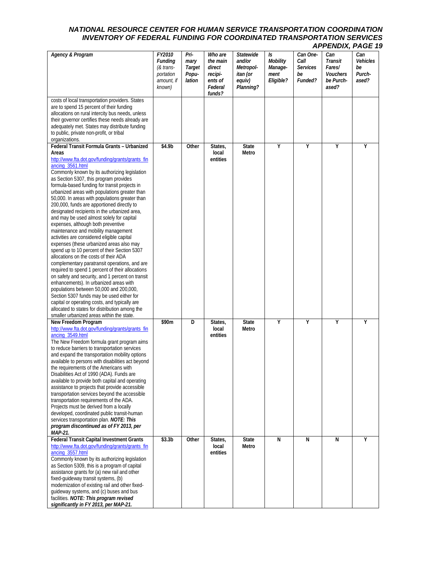| <b>Agency &amp; Program</b>                                                                                                                                                                                                                                                                                                                                                                                                                                                                                                                                                                                                                                                                                                                                                                                                                                                                                                                                                                                                                                                                                                                                                                                                      | FY2010<br><b>Funding</b><br>(& trans-<br>portation<br>amount, if<br>known) | Pri-<br>mary<br>Target<br>Popu-<br>lation | Who are<br>the main<br>direct<br>recipi-<br>ents of<br>Federal<br>funds? | Statewide<br>and/or<br>Metropol-<br>itan (or<br>equiv)<br>Planning? | Is<br>Mobility<br>Manage-<br>ment<br>Eligible? | Can One-<br>Call<br><b>Services</b><br>be<br>Funded? | Can<br>Transit<br>Fares/<br>Vouchers<br>be Purch-<br>ased? | Can<br>Vehicles<br>be<br>Purch-<br>ased? |
|----------------------------------------------------------------------------------------------------------------------------------------------------------------------------------------------------------------------------------------------------------------------------------------------------------------------------------------------------------------------------------------------------------------------------------------------------------------------------------------------------------------------------------------------------------------------------------------------------------------------------------------------------------------------------------------------------------------------------------------------------------------------------------------------------------------------------------------------------------------------------------------------------------------------------------------------------------------------------------------------------------------------------------------------------------------------------------------------------------------------------------------------------------------------------------------------------------------------------------|----------------------------------------------------------------------------|-------------------------------------------|--------------------------------------------------------------------------|---------------------------------------------------------------------|------------------------------------------------|------------------------------------------------------|------------------------------------------------------------|------------------------------------------|
| costs of local transportation providers. States<br>are to spend 15 percent of their funding<br>allocations on rural intercity bus needs, unless<br>their governor certifies these needs already are<br>adequately met. States may distribute funding<br>to public, private non-profit, or tribal<br>organizations.                                                                                                                                                                                                                                                                                                                                                                                                                                                                                                                                                                                                                                                                                                                                                                                                                                                                                                               |                                                                            |                                           |                                                                          |                                                                     |                                                |                                                      |                                                            |                                          |
| Federal Transit Formula Grants - Urbanized<br>Areas<br>http://www.fta.dot.gov/funding/grants/grants_fin<br>ancing_3561.html<br>Commonly known by its authorizing legislation<br>as Section 5307, this program provides<br>formula-based funding for transit projects in<br>urbanized areas with populations greater than<br>50,000. In areas with populations greater than<br>200,000, funds are apportioned directly to<br>designated recipients in the urbanized area,<br>and may be used almost solely for capital<br>expenses, although both preventive<br>maintenance and mobility management<br>activities are considered eligible capital<br>expenses (these urbanized areas also may<br>spend up to 10 percent of their Section 5307<br>allocations on the costs of their ADA<br>complementary paratransit operations, and are<br>required to spend 1 percent of their allocations<br>on safety and security, and 1 percent on transit<br>enhancements). In urbanized areas with<br>populations between 50,000 and 200,000,<br>Section 5307 funds may be used either for<br>capital or operating costs, and typically are<br>allocated to states for distribution among the<br>smaller urbanized areas within the state. | \$4.9b                                                                     | Other                                     | States,<br>local<br>entities                                             | <b>State</b><br>Metro                                               | Υ                                              | Y                                                    | Ÿ                                                          | Υ                                        |
| New Freedom Program<br>http://www.fta.dot.gov/funding/grants/grants fin<br>ancing_3549.html<br>The New Freedom formula grant program aims<br>to reduce barriers to transportation services<br>and expand the transportation mobility options<br>available to persons with disabilities act beyond<br>the requirements of the Americans with<br>Disabilities Act of 1990 (ADA). Funds are<br>available to provide both capital and operating<br>assistance to projects that provide accessible<br>transportation services beyond the accessible<br>transportation requirements of the ADA.<br>Projects must be derived from a locally<br>developed, coordinated public transit-human<br>services transportation plan. NOTE: This<br>program discontinued as of FY 2013, per<br>MAP-21.                                                                                                                                                                                                                                                                                                                                                                                                                                            | \$90m                                                                      | D                                         | States,<br>local<br>entities                                             | <b>State</b><br>Metro                                               | Υ                                              | Y                                                    | Υ                                                          | Υ                                        |
| <b>Federal Transit Capital Investment Grants</b><br>http://www.fta.dot.gov/funding/grants/grants fin<br>ancing_3557.html<br>Commonly known by its authorizing legislation<br>as Section 5309, this is a program of capital<br>assistance grants for (a) new rail and other<br>fixed-guideway transit systems, (b)<br>modernization of existing rail and other fixed-<br>guideway systems, and (c) buses and bus<br>facilities. NOTE: This program revised<br>significantly in FY 2013, per MAP-21.                                                                                                                                                                                                                                                                                                                                                                                                                                                                                                                                                                                                                                                                                                                               | \$3.3 <sub>b</sub>                                                         | Other                                     | States,<br>local<br>entities                                             | <b>State</b><br>Metro                                               | N                                              | N                                                    | N                                                          | Y                                        |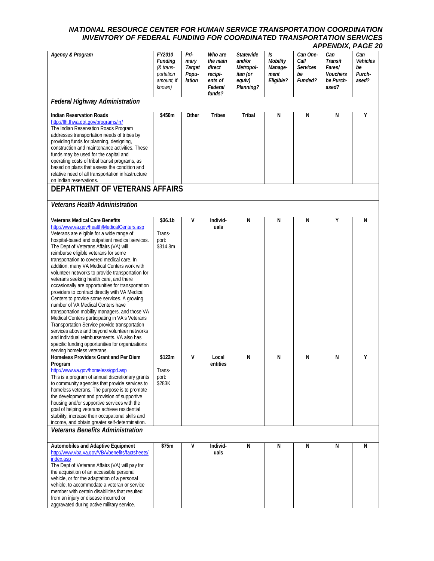| <b>Agency &amp; Program</b>                                                                                                                                                                                                                                                                                                                                                                                                                                                                                                                                                                                                                                                                                                                                                                                                                                                                                                                                                                        | FY2010<br><b>Funding</b><br>(& trans-  | Pri-<br>mary<br>Target | Who are<br>the main<br>direct           | <b>Statewide</b><br>and/or<br>Metropol- | Is<br>Mobility<br>Manage- | Can One-<br>Call<br>Services | Can<br>Transit<br>Fares/       | Can<br><b>Vehicles</b><br>be |
|----------------------------------------------------------------------------------------------------------------------------------------------------------------------------------------------------------------------------------------------------------------------------------------------------------------------------------------------------------------------------------------------------------------------------------------------------------------------------------------------------------------------------------------------------------------------------------------------------------------------------------------------------------------------------------------------------------------------------------------------------------------------------------------------------------------------------------------------------------------------------------------------------------------------------------------------------------------------------------------------------|----------------------------------------|------------------------|-----------------------------------------|-----------------------------------------|---------------------------|------------------------------|--------------------------------|------------------------------|
|                                                                                                                                                                                                                                                                                                                                                                                                                                                                                                                                                                                                                                                                                                                                                                                                                                                                                                                                                                                                    | portation<br>amount, if<br>known)      | Popu-<br>lation        | recipi-<br>ents of<br>Federal<br>funds? | itan (or<br>equiv)<br>Planning?         | ment<br>Eligible?         | be<br>Funded?                | Vouchers<br>be Purch-<br>ased? | Purch-<br>ased?              |
| <b>Federal Highway Administration</b>                                                                                                                                                                                                                                                                                                                                                                                                                                                                                                                                                                                                                                                                                                                                                                                                                                                                                                                                                              |                                        |                        |                                         |                                         |                           |                              |                                |                              |
| <b>Indian Reservation Roads</b><br>http://flh.fhwa.dot.gov/programs/irr/<br>The Indian Reservation Roads Program<br>addresses transportation needs of tribes by<br>providing funds for planning, designing,<br>construction and maintenance activities. These<br>funds may be used for the capital and<br>operating costs of tribal transit programs, as<br>based on plans that assess the condition and<br>relative need of all transportation infrastructure<br>on Indian reservations.                                                                                                                                                                                                                                                                                                                                                                                                                                                                                                          | \$450m                                 | Other                  | <b>Tribes</b>                           | Tribal                                  | N                         | N                            | N                              | Υ                            |
| DEPARTMENT OF VETERANS AFFAIRS                                                                                                                                                                                                                                                                                                                                                                                                                                                                                                                                                                                                                                                                                                                                                                                                                                                                                                                                                                     |                                        |                        |                                         |                                         |                           |                              |                                |                              |
| <b>Veterans Health Administration</b>                                                                                                                                                                                                                                                                                                                                                                                                                                                                                                                                                                                                                                                                                                                                                                                                                                                                                                                                                              |                                        |                        |                                         |                                         |                           |                              |                                |                              |
| <b>Veterans Medical Care Benefits</b><br>http://www.va.gov/health/MedicalCenters.asp<br>Veterans are eligible for a wide range of<br>hospital-based and outpatient medical services.<br>The Dept of Veterans Affairs (VA) will<br>reimburse eligible veterans for some<br>transportation to covered medical care. In<br>addition, many VA Medical Centers work with<br>volunteer networks to provide transportation for<br>veterans seeking health care, and there<br>occasionally are opportunities for transportation<br>providers to contract directly with VA Medical<br>Centers to provide some services. A growing<br>number of VA Medical Centers have<br>transportation mobility managers, and those VA<br>Medical Centers participating in VA's Veterans<br>Transportation Service provide transportation<br>services above and beyond volunteer networks<br>and individual reimbursements. VA also has<br>specific funding opportunities for organizations<br>serving homeless veterans. | \$36.1b<br>Trans-<br>port:<br>\$314.8m | $\mathsf{V}$           | Individ-<br>uals                        | N                                       | N                         | N                            | Υ                              | N                            |
| Homeless Providers Grant and Per Diem<br>Program<br>http://www.va.gov/homeless/qpd.asp<br>This is a program of annual discretionary grants<br>to community agencies that provide services to<br>homeless veterans. The purpose is to promote<br>the development and provision of supportive<br>housing and/or supportive services with the<br>goal of helping veterans achieve residential<br>stability, increase their occupational skills and<br>income, and obtain greater self-determination.                                                                                                                                                                                                                                                                                                                                                                                                                                                                                                  | \$122m<br>Trans-<br>port:<br>\$283K    | v                      | Local<br>entities                       | N                                       | N                         | N                            | N                              | Υ                            |
| <b>Veterans Benefits Administration</b>                                                                                                                                                                                                                                                                                                                                                                                                                                                                                                                                                                                                                                                                                                                                                                                                                                                                                                                                                            |                                        |                        |                                         |                                         |                           |                              |                                |                              |
| Automobiles and Adaptive Equipment<br>http://www.vba.va.gov/VBA/benefits/factsheets/<br>index.asp<br>The Dept of Veterans Affairs (VA) will pay for<br>the acquisition of an accessible personal<br>vehicle, or for the adaptation of a personal<br>vehicle, to accommodate a veteran or service<br>member with certain disabilities that resulted<br>from an injury or disease incurred or<br>aggravated during active military service.                                                                                                                                                                                                                                                                                                                                                                                                                                                                                                                                                          | \$75m                                  | v                      | Individ-<br>uals                        | N                                       | N                         | N                            | N                              | N                            |